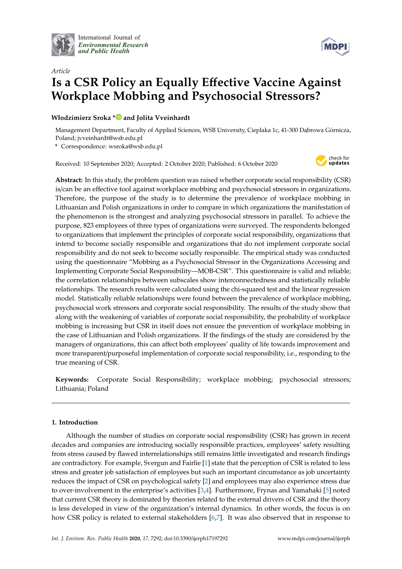

International Journal of *[Environmental Research](http://www.mdpi.com/journal/ijerph) and Public Health*



# *Article* **Is a CSR Policy an Equally E**ff**ective Vaccine Against Workplace Mobbing and Psychosocial Stressors?**

# **Włodzimierz Sroka [\\*](https://orcid.org/0000-0002-8701-0716) and Jolita Vveinhardt**

Management Department, Faculty of Applied Sciences, WSB University, Cieplaka 1c, 41-300 Dabrowa Górnicza, Poland; jvveinhardt@wsb.edu.pl

**\*** Correspondence: wsroka@wsb.edu.pl

Received: 10 September 2020; Accepted: 2 October 2020; Published: 6 October 2020



**Abstract:** In this study, the problem question was raised whether corporate social responsibility (CSR) is/can be an effective tool against workplace mobbing and psychosocial stressors in organizations. Therefore, the purpose of the study is to determine the prevalence of workplace mobbing in Lithuanian and Polish organizations in order to compare in which organizations the manifestation of the phenomenon is the strongest and analyzing psychosocial stressors in parallel. To achieve the purpose, 823 employees of three types of organizations were surveyed. The respondents belonged to organizations that implement the principles of corporate social responsibility, organizations that intend to become socially responsible and organizations that do not implement corporate social responsibility and do not seek to become socially responsible. The empirical study was conducted using the questionnaire "Mobbing as a Psychosocial Stressor in the Organizations Accessing and Implementing Corporate Social Responsibility—MOB-CSR". This questionnaire is valid and reliable; the correlation relationships between subscales show interconnectedness and statistically reliable relationships. The research results were calculated using the chi-squared test and the linear regression model. Statistically reliable relationships were found between the prevalence of workplace mobbing, psychosocial work stressors and corporate social responsibility. The results of the study show that along with the weakening of variables of corporate social responsibility, the probability of workplace mobbing is increasing but CSR in itself does not ensure the prevention of workplace mobbing in the case of Lithuanian and Polish organizations. If the findings of the study are considered by the managers of organizations, this can affect both employees' quality of life towards improvement and more transparent/purposeful implementation of corporate social responsibility, i.e., responding to the true meaning of CSR.

**Keywords:** Corporate Social Responsibility; workplace mobbing; psychosocial stressors; Lithuania; Poland

## <span id="page-0-0"></span>**1. Introduction**

Although the number of studies on corporate social responsibility (CSR) has grown in recent decades and companies are introducing socially responsible practices, employees' safety resulting from stress caused by flawed interrelationships still remains little investigated and research findings are contradictory. For example, Svergun and Fairlie [\[1\]](#page-16-0) state that the perception of CSR is related to less stress and greater job satisfaction of employees but such an important circumstance as job uncertainty reduces the impact of CSR on psychological safety [\[2\]](#page-16-1) and employees may also experience stress due to over-involvement in the enterprise's activities [\[3](#page-16-2)[,4\]](#page-16-3). Furthermore, Frynas and Yamahaki [\[5\]](#page-16-4) noted that current CSR theory is dominated by theories related to the external drivers of CSR and the theory is less developed in view of the organization's internal dynamics. In other words, the focus is on how CSR policy is related to external stakeholders [\[6](#page-16-5)[,7\]](#page-16-6). It was also observed that in response to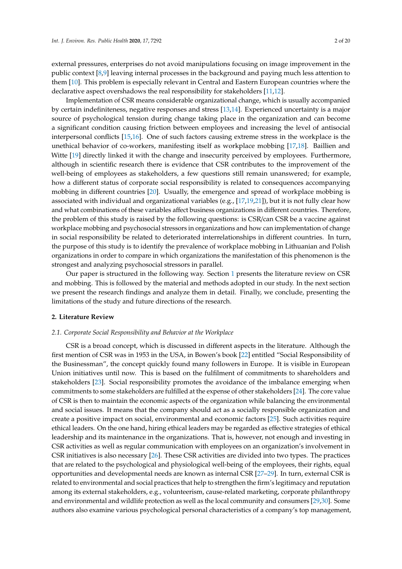external pressures, enterprises do not avoid manipulations focusing on image improvement in the public context [\[8,](#page-16-7)[9\]](#page-16-8) leaving internal processes in the background and paying much less attention to them [\[10\]](#page-16-9). This problem is especially relevant in Central and Eastern European countries where the declarative aspect overshadows the real responsibility for stakeholders [\[11](#page-16-10)[,12\]](#page-16-11).

Implementation of CSR means considerable organizational change, which is usually accompanied by certain indefiniteness, negative responses and stress [\[13,](#page-16-12)[14\]](#page-16-13). Experienced uncertainty is a major source of psychological tension during change taking place in the organization and can become a significant condition causing friction between employees and increasing the level of antisocial interpersonal conflicts [\[15](#page-16-14)[,16\]](#page-16-15). One of such factors causing extreme stress in the workplace is the unethical behavior of co-workers, manifesting itself as workplace mobbing [\[17](#page-16-16)[,18\]](#page-16-17). Baillien and Witte [\[19\]](#page-16-18) directly linked it with the change and insecurity perceived by employees. Furthermore, although in scientific research there is evidence that CSR contributes to the improvement of the well-being of employees as stakeholders, a few questions still remain unanswered; for example, how a different status of corporate social responsibility is related to consequences accompanying mobbing in different countries [\[20\]](#page-17-0). Usually, the emergence and spread of workplace mobbing is associated with individual and organizational variables (e.g., [\[17](#page-16-16)[,19](#page-16-18)[,21\]](#page-17-1)), but it is not fully clear how and what combinations of these variables affect business organizations in different countries. Therefore, the problem of this study is raised by the following questions: is CSR/can CSR be a vaccine against workplace mobbing and psychosocial stressors in organizations and how can implementation of change in social responsibility be related to deteriorated interrelationships in different countries. In turn, the purpose of this study is to identify the prevalence of workplace mobbing in Lithuanian and Polish organizations in order to compare in which organizations the manifestation of this phenomenon is the strongest and analyzing psychosocial stressors in parallel.

Our paper is structured in the following way. Section [1](#page-0-0) presents the literature review on CSR and mobbing. This is followed by the material and methods adopted in our study. In the next section we present the research findings and analyze them in detail. Finally, we conclude, presenting the limitations of the study and future directions of the research.

#### **2. Literature Review**

#### *2.1. Corporate Social Responsibility and Behavior at the Workplace*

CSR is a broad concept, which is discussed in different aspects in the literature. Although the first mention of CSR was in 1953 in the USA, in Bowen's book [\[22\]](#page-17-2) entitled "Social Responsibility of the Businessman", the concept quickly found many followers in Europe. It is visible in European Union initiatives until now. This is based on the fulfilment of commitments to shareholders and stakeholders [\[23\]](#page-17-3). Social responsibility promotes the avoidance of the imbalance emerging when commitments to some stakeholders are fulfilled at the expense of other stakeholders [\[24\]](#page-17-4). The core value of CSR is then to maintain the economic aspects of the organization while balancing the environmental and social issues. It means that the company should act as a socially responsible organization and create a positive impact on social, environmental and economic factors [\[25\]](#page-17-5). Such activities require ethical leaders. On the one hand, hiring ethical leaders may be regarded as effective strategies of ethical leadership and its maintenance in the organizations. That is, however, not enough and investing in CSR activities as well as regular communication with employees on an organization's involvement in CSR initiatives is also necessary [\[26\]](#page-17-6). These CSR activities are divided into two types. The practices that are related to the psychological and physiological well-being of the employees, their rights, equal opportunities and developmental needs are known as internal CSR [\[27](#page-17-7)[–29\]](#page-17-8). In turn, external CSR is related to environmental and social practices that help to strengthen the firm's legitimacy and reputation among its external stakeholders, e.g., volunteerism, cause-related marketing, corporate philanthropy and environmental and wildlife protection as well as the local community and consumers [\[29,](#page-17-8)[30\]](#page-17-9). Some authors also examine various psychological personal characteristics of a company's top management,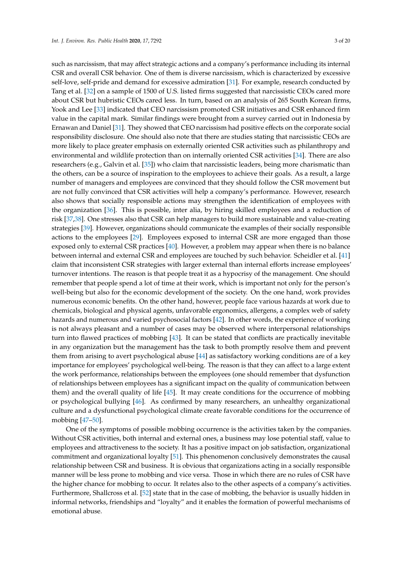such as narcissism, that may affect strategic actions and a company's performance including its internal CSR and overall CSR behavior. One of them is diverse narcissism, which is characterized by excessive self-love, self-pride and demand for excessive admiration [\[31\]](#page-17-10). For example, research conducted by Tang et al. [\[32\]](#page-17-11) on a sample of 1500 of U.S. listed firms suggested that narcissistic CEOs cared more about CSR but hubristic CEOs cared less. In turn, based on an analysis of 265 South Korean firms, Yook and Lee [\[33\]](#page-17-12) indicated that CEO narcissism promoted CSR initiatives and CSR enhanced firm value in the capital mark. Similar findings were brought from a survey carried out in Indonesia by Ernawan and Daniel [\[31\]](#page-17-10). They showed that CEO narcissism had positive effects on the corporate social responsibility disclosure. One should also note that there are studies stating that narcissistic CEOs are more likely to place greater emphasis on externally oriented CSR activities such as philanthropy and environmental and wildlife protection than on internally oriented CSR activities [\[34\]](#page-17-13). There are also researchers (e.g., Galvin et al. [\[35\]](#page-17-14)) who claim that narcissistic leaders, being more charismatic than the others, can be a source of inspiration to the employees to achieve their goals. As a result, a large number of managers and employees are convinced that they should follow the CSR movement but are not fully convinced that CSR activities will help a company's performance. However, research also shows that socially responsible actions may strengthen the identification of employees with the organization [\[36\]](#page-17-15). This is possible, inter alia, by hiring skilled employees and a reduction of risk [\[37,](#page-17-16)[38\]](#page-17-17). One stresses also that CSR can help managers to build more sustainable and value-creating strategies [\[39\]](#page-17-18). However, organizations should communicate the examples of their socially responsible actions to the employees [\[29\]](#page-17-8). Employees exposed to internal CSR are more engaged than those exposed only to external CSR practices [\[40\]](#page-17-19). However, a problem may appear when there is no balance between internal and external CSR and employees are touched by such behavior. Scheidler et al. [\[41\]](#page-17-20) claim that inconsistent CSR strategies with larger external than internal efforts increase employees' turnover intentions. The reason is that people treat it as a hypocrisy of the management. One should remember that people spend a lot of time at their work, which is important not only for the person's well-being but also for the economic development of the society. On the one hand, work provides numerous economic benefits. On the other hand, however, people face various hazards at work due to chemicals, biological and physical agents, unfavorable ergonomics, allergens, a complex web of safety hazards and numerous and varied psychosocial factors [\[42\]](#page-17-21). In other words, the experience of working is not always pleasant and a number of cases may be observed where interpersonal relationships turn into flawed practices of mobbing [\[43\]](#page-18-0). It can be stated that conflicts are practically inevitable in any organization but the management has the task to both promptly resolve them and prevent them from arising to avert psychological abuse [\[44\]](#page-18-1) as satisfactory working conditions are of a key importance for employees' psychological well-being. The reason is that they can affect to a large extent the work performance, relationships between the employees (one should remember that dysfunction of relationships between employees has a significant impact on the quality of communication between them) and the overall quality of life [\[45\]](#page-18-2). It may create conditions for the occurrence of mobbing or psychological bullying [\[46\]](#page-18-3). As confirmed by many researchers, an unhealthy organizational culture and a dysfunctional psychological climate create favorable conditions for the occurrence of mobbing [\[47–](#page-18-4)[50\]](#page-18-5).

One of the symptoms of possible mobbing occurrence is the activities taken by the companies. Without CSR activities, both internal and external ones, a business may lose potential staff, value to employees and attractiveness to the society. It has a positive impact on job satisfaction, organizational commitment and organizational loyalty [\[51\]](#page-18-6). This phenomenon conclusively demonstrates the causal relationship between CSR and business. It is obvious that organizations acting in a socially responsible manner will be less prone to mobbing and vice versa. Those in which there are no rules of CSR have the higher chance for mobbing to occur. It relates also to the other aspects of a company's activities. Furthermore, Shallcross et al. [\[52\]](#page-18-7) state that in the case of mobbing, the behavior is usually hidden in informal networks, friendships and "loyalty" and it enables the formation of powerful mechanisms of emotional abuse.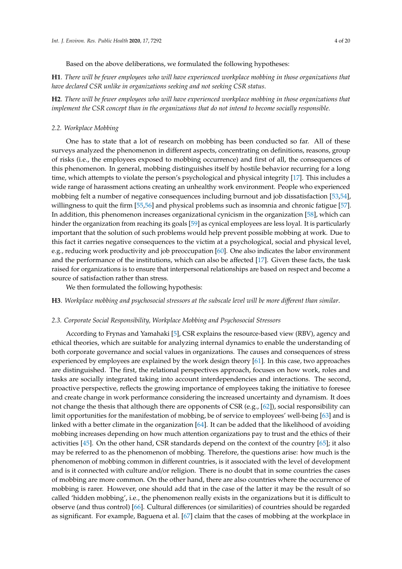Based on the above deliberations, we formulated the following hypotheses:

**H1**. *There will be fewer employees who will have experienced workplace mobbing in those organizations that have declared CSR unlike in organizations seeking and not seeking CSR status*.

**H2**. *There will be fewer employees who will have experienced workplace mobbing in those organizations that implement the CSR concept than in the organizations that do not intend to become socially responsible*.

## *2.2. Workplace Mobbing*

One has to state that a lot of research on mobbing has been conducted so far. All of these surveys analyzed the phenomenon in different aspects, concentrating on definitions, reasons, group of risks (i.e., the employees exposed to mobbing occurrence) and first of all, the consequences of this phenomenon. In general, mobbing distinguishes itself by hostile behavior recurring for a long time, which attempts to violate the person's psychological and physical integrity [\[17\]](#page-16-16). This includes a wide range of harassment actions creating an unhealthy work environment. People who experienced mobbing felt a number of negative consequences including burnout and job dissatisfaction [\[53,](#page-18-8)[54\]](#page-18-9), willingness to quit the firm [\[55](#page-18-10)[,56\]](#page-18-11) and physical problems such as insomnia and chronic fatigue [\[57\]](#page-18-12). In addition, this phenomenon increases organizational cynicism in the organization [\[58\]](#page-18-13), which can hinder the organization from reaching its goals [\[59\]](#page-18-14) as cynical employees are less loyal. It is particularly important that the solution of such problems would help prevent possible mobbing at work. Due to this fact it carries negative consequences to the victim at a psychological, social and physical level, e.g., reducing work productivity and job preoccupation [\[60\]](#page-18-15). One also indicates the labor environment and the performance of the institutions, which can also be affected [\[17\]](#page-16-16). Given these facts, the task raised for organizations is to ensure that interpersonal relationships are based on respect and become a source of satisfaction rather than stress.

We then formulated the following hypothesis:

**H3**. *Workplace mobbing and psychosocial stressors at the subscale level will be more di*ff*erent than similar*.

## *2.3. Corporate Social Responsibility, Workplace Mobbing and Psychosocial Stressors*

According to Frynas and Yamahaki [\[5\]](#page-16-4), CSR explains the resource-based view (RBV), agency and ethical theories, which are suitable for analyzing internal dynamics to enable the understanding of both corporate governance and social values in organizations. The causes and consequences of stress experienced by employees are explained by the work design theory [\[61\]](#page-18-16). In this case, two approaches are distinguished. The first, the relational perspectives approach, focuses on how work, roles and tasks are socially integrated taking into account interdependencies and interactions. The second, proactive perspective, reflects the growing importance of employees taking the initiative to foresee and create change in work performance considering the increased uncertainty and dynamism. It does not change the thesis that although there are opponents of CSR (e.g., [\[62\]](#page-18-17)), social responsibility can limit opportunities for the manifestation of mobbing, be of service to employees' well-being [\[63\]](#page-18-18) and is linked with a better climate in the organization [\[64\]](#page-18-19). It can be added that the likelihood of avoiding mobbing increases depending on how much attention organizations pay to trust and the ethics of their activities [\[45\]](#page-18-2). On the other hand, CSR standards depend on the context of the country [\[65\]](#page-18-20); it also may be referred to as the phenomenon of mobbing. Therefore, the questions arise: how much is the phenomenon of mobbing common in different countries, is it associated with the level of development and is it connected with culture and/or religion. There is no doubt that in some countries the cases of mobbing are more common. On the other hand, there are also countries where the occurrence of mobbing is rarer. However, one should add that in the case of the latter it may be the result of so called 'hidden mobbing', i.e., the phenomenon really exists in the organizations but it is difficult to observe (and thus control) [\[66\]](#page-19-0). Cultural differences (or similarities) of countries should be regarded as significant. For example, Baguena et al. [\[67\]](#page-19-1) claim that the cases of mobbing at the workplace in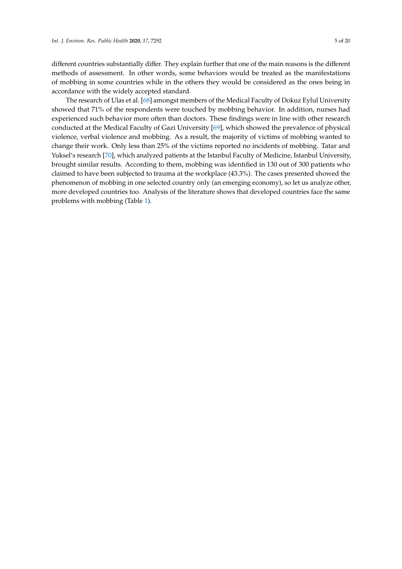different countries substantially differ. They explain further that one of the main reasons is the different methods of assessment. In other words, some behaviors would be treated as the manifestations of mobbing in some countries while in the others they would be considered as the ones being in accordance with the widely accepted standard.

The research of Ulas et al. [\[68\]](#page-19-2) amongst members of the Medical Faculty of Dokuz Eylul University showed that 71% of the respondents were touched by mobbing behavior. In addition, nurses had experienced such behavior more often than doctors. These findings were in line with other research conducted at the Medical Faculty of Gazi University [\[69\]](#page-19-3), which showed the prevalence of physical violence, verbal violence and mobbing. As a result, the majority of victims of mobbing wanted to change their work. Only less than 25% of the victims reported no incidents of mobbing. Tatar and Yuksel's research [\[70\]](#page-19-4), which analyzed patients at the Istanbul Faculty of Medicine, Istanbul University, brought similar results. According to them, mobbing was identified in 130 out of 300 patients who claimed to have been subjected to trauma at the workplace (43.3%). The cases presented showed the phenomenon of mobbing in one selected country only (an emerging economy), so let us analyze other, more developed countries too. Analysis of the literature shows that developed countries face the same problems with mobbing (Table [1\)](#page-6-0).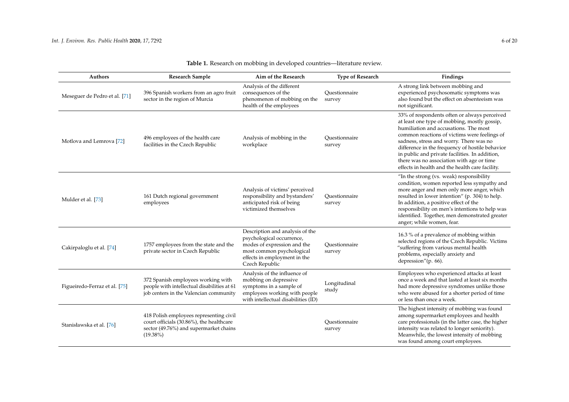| <b>Authors</b>                | <b>Research Sample</b>                                                                                                                       | Aim of the Research                                                                                                                                                        | <b>Type of Research</b> | Findings                                                                                                                                                                                                                                                                                                                                                                                                                              |
|-------------------------------|----------------------------------------------------------------------------------------------------------------------------------------------|----------------------------------------------------------------------------------------------------------------------------------------------------------------------------|-------------------------|---------------------------------------------------------------------------------------------------------------------------------------------------------------------------------------------------------------------------------------------------------------------------------------------------------------------------------------------------------------------------------------------------------------------------------------|
| Meseguer de Pedro et al. [71] | 396 Spanish workers from an agro fruit<br>sector in the region of Murcia                                                                     | Analysis of the different<br>consequences of the<br>phenomenon of mobbing on the<br>health of the employees                                                                | Ouestionnaire<br>survey | A strong link between mobbing and<br>experienced psychosomatic symptoms was<br>also found but the effect on absenteeism was<br>not significant.                                                                                                                                                                                                                                                                                       |
| Motlova and Lemrova [72]      | 496 employees of the health care<br>facilities in the Czech Republic                                                                         | Analysis of mobbing in the<br>workplace                                                                                                                                    | Ouestionnaire<br>survey | 33% of respondents often or always perceived<br>at least one type of mobbing, mostly gossip,<br>humiliation and accusations. The most<br>common reactions of victims were feelings of<br>sadness, stress and worry. There was no<br>difference in the frequency of hostile behavior<br>in public and private facilities. In addition,<br>there was no association with age or time<br>effects in health and the health care facility. |
| Mulder et al. [73]            | 161 Dutch regional government<br>employees                                                                                                   | Analysis of victims' perceived<br>responsibility and bystanders'<br>anticipated risk of being<br>victimized themselves                                                     | Ouestionnaire<br>survey | "In the strong (vs. weak) responsibility<br>condition, women reported less sympathy and<br>more anger and men only more anger, which<br>resulted in lower intention" (p. 304) to help.<br>In addition, a positive effect of the<br>responsibility on men's intentions to help was<br>identified. Together, men demonstrated greater<br>anger; while women, fear.                                                                      |
| Cakirpaloglu et al. [74]      | 1757 employees from the state and the<br>private sector in Czech Republic                                                                    | Description and analysis of the<br>psychological occurrence,<br>modes of expression and the<br>most common psychological<br>effects in employment in the<br>Czech Republic | Questionnaire<br>survey | 16.3 % of a prevalence of mobbing within<br>selected regions of the Czech Republic. Victims<br>"suffering from various mental health<br>problems, especially anxiety and<br>depression" $(p. 66)$ .                                                                                                                                                                                                                                   |
| Figueiredo-Ferraz et al. [75] | 372 Spanish employees working with<br>people with intellectual disabilities at 61<br>job centers in the Valencian community                  | Analysis of the influence of<br>mobbing on depressive<br>symptoms in a sample of<br>employees working with people<br>with intellectual disabilities (ID)                   | Longitudinal<br>study   | Employees who experienced attacks at least<br>once a week and that lasted at least six months<br>had more depressive syndromes unlike those<br>who were abused for a shorter period of time<br>or less than once a week.                                                                                                                                                                                                              |
| Stanisławska et al. [76]      | 418 Polish employees representing civil<br>court officials (30.86%), the healthcare<br>sector (49.76%) and supermarket chains<br>$(19.38\%)$ |                                                                                                                                                                            | Ouestionnaire<br>survey | The highest intensity of mobbing was found<br>among supermarket employees and health<br>care professionals (in the latter case, the higher<br>intensity was related to longer seniority).<br>Meanwhile, the lowest intensity of mobbing<br>was found among court employees.                                                                                                                                                           |

# **Table 1.** Research on mobbing in developed countries—literature review.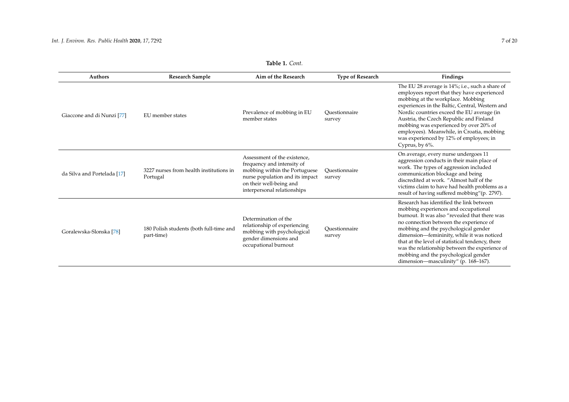<span id="page-6-0"></span>

| <b>Authors</b>              | <b>Research Sample</b>                                | Aim of the Research                                                                                                                                                                      | <b>Type of Research</b> | Findings                                                                                                                                                                                                                                                                                                                                                                                                                                                 |
|-----------------------------|-------------------------------------------------------|------------------------------------------------------------------------------------------------------------------------------------------------------------------------------------------|-------------------------|----------------------------------------------------------------------------------------------------------------------------------------------------------------------------------------------------------------------------------------------------------------------------------------------------------------------------------------------------------------------------------------------------------------------------------------------------------|
| Giaccone and di Nunzi [77]  | EU member states                                      | Prevalence of mobbing in EU<br>member states                                                                                                                                             | Ouestionnaire<br>survey | The EU 28 average is 14%; i.e., such a share of<br>employees report that they have experienced<br>mobbing at the workplace. Mobbing<br>experiences in the Baltic, Central, Western and<br>Nordic countries exceed the EU average (in<br>Austria, the Czech Republic and Finland<br>mobbing was experienced by over 20% of<br>employees). Meanwhile, in Croatia, mobbing<br>was experienced by 12% of employees; in<br>Cyprus, by 6%.                     |
| da Silva and Portelada [17] | 3227 nurses from health institutions in<br>Portugal   | Assessment of the existence.<br>frequency and intensity of<br>mobbing within the Portuguese<br>nurse population and its impact<br>on their well-being and<br>interpersonal relationships | Ouestionnaire<br>survey | On average, every nurse undergoes 11<br>aggression conducts in their main place of<br>work. The types of aggression included<br>communication blockage and being<br>discredited at work. "Almost half of the<br>victims claim to have had health problems as a<br>result of having suffered mobbing"(p. 2797).                                                                                                                                           |
| Goralewska-Slonska [78]     | 180 Polish students (both full-time and<br>part-time) | Determination of the<br>relationship of experiencing<br>mobbing with psychological<br>gender dimensions and<br>occupational burnout                                                      | Ouestionnaire<br>survey | Research has identified the link between<br>mobbing experiences and occupational<br>burnout. It was also "revealed that there was<br>no connection between the experience of<br>mobbing and the psychological gender<br>dimension-femininity, while it was noticed<br>that at the level of statistical tendency, there<br>was the relationship between the experience of<br>mobbing and the psychological gender<br>dimension—masculinity" (p. 168-167). |

## **Table 1.** *Cont.*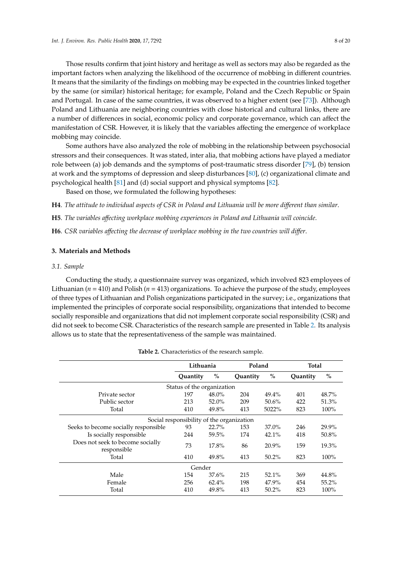Those results confirm that joint history and heritage as well as sectors may also be regarded as the important factors when analyzing the likelihood of the occurrence of mobbing in different countries. It means that the similarity of the findings on mobbing may be expected in the countries linked together by the same (or similar) historical heritage; for example, Poland and the Czech Republic or Spain and Portugal. In case of the same countries, it was observed to a higher extent (see [\[73\]](#page-19-12)). Although Poland and Lithuania are neighboring countries with close historical and cultural links, there are a number of differences in social, economic policy and corporate governance, which can affect the manifestation of CSR. However, it is likely that the variables affecting the emergence of workplace mobbing may coincide.

Some authors have also analyzed the role of mobbing in the relationship between psychosocial stressors and their consequences. It was stated, inter alia, that mobbing actions have played a mediator role between (a) job demands and the symptoms of post-traumatic stress disorder [\[79\]](#page-19-13), (b) tension at work and the symptoms of depression and sleep disturbances [\[80\]](#page-19-14), (c) organizational climate and psychological health [\[81\]](#page-19-15) and (d) social support and physical symptoms [\[82\]](#page-19-16).

Based on those, we formulated the following hypotheses:

**H4**. *The attitude to individual aspects of CSR in Poland and Lithuania will be more di*ff*erent than similar*.

**H5**. *The variables a*ff*ecting workplace mobbing experiences in Poland and Lithuania will coincide*.

**H6**. *CSR variables a*ff*ecting the decrease of workplace mobbing in the two countries will di*ff*er*.

## **3. Materials and Methods**

#### *3.1. Sample*

Conducting the study, a questionnaire survey was organized, which involved 823 employees of Lithuanian (*n* = 410) and Polish (*n* = 413) organizations. To achieve the purpose of the study, employees of three types of Lithuanian and Polish organizations participated in the survey; i.e., organizations that implemented the principles of corporate social responsibility, organizations that intended to become socially responsible and organizations that did not implement corporate social responsibility (CSR) and did not seek to become CSR. Characteristics of the research sample are presented in Table [2.](#page-9-0) Its analysis allows us to state that the representativeness of the sample was maintained.

|                                                 | Lithuania                                 |          | Poland   |          | Total    |       |
|-------------------------------------------------|-------------------------------------------|----------|----------|----------|----------|-------|
|                                                 | Quantity                                  | $\%$     | Quantity | $\%$     | Quantity | $\%$  |
|                                                 | Status of the organization                |          |          |          |          |       |
| Private sector                                  | 197                                       | $48.0\%$ | 204      | $49.4\%$ | 401      | 48.7% |
| Public sector                                   | 213                                       | 52.0%    | 209      | 50.6%    | 422      | 51.3% |
| Total                                           | 410                                       | 49.8%    | 413      | 5022%    | 823      | 100%  |
|                                                 | Social responsibility of the organization |          |          |          |          |       |
| Seeks to become socially responsible            | 93                                        | 22.7%    | 153      | 37.0%    | 246      | 29.9% |
| Is socially responsible                         | 244                                       | 59.5%    | 174      | $42.1\%$ | 418      | 50.8% |
| Does not seek to become socially<br>responsible | 73                                        | $17.8\%$ | 86       | $20.9\%$ | 159      | 19.3% |
| Total                                           | 410                                       | 49.8%    | 413      | $50.2\%$ | 823      | 100%  |
|                                                 | Gender                                    |          |          |          |          |       |
| Male                                            | 154                                       | 37.6%    | 215      | $52.1\%$ | 369      | 44.8% |
| Female                                          | 256                                       | 62.4%    | 198      | 47.9%    | 454      | 55.2% |
| Total                                           | 410                                       | 49.8%    | 413      | $50.2\%$ | 823      | 100%  |

| Table 2. Characteristics of the research sample. |
|--------------------------------------------------|
|--------------------------------------------------|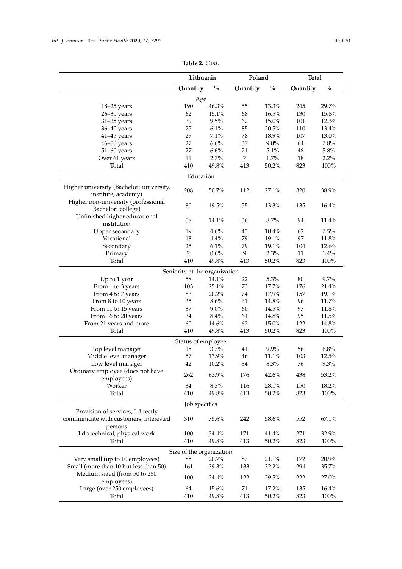| $\%$<br>$\%$<br>Quantity<br>Quantity<br>Quantity<br>Age<br>46.3%<br>190<br>55<br>13.3%<br>245<br>$18-25$ years<br>16.5%<br>130<br>$26 - 30$ years<br>62<br>15.1%<br>68<br>9.5%<br>39<br>15.0%<br>101<br>31-35 years<br>62<br>6.1%<br>85<br>110<br>36-40 years<br>25<br>20.5%<br>29<br>7.1%<br>78<br>18.9%<br>$107\,$<br>41-45 years<br>27<br>6.6%<br>37<br>$9.0\%$<br>46-50 years<br>64<br>27<br>6.6%<br>21<br>5.1%<br>$\rm 48$<br>51-60 years<br>11<br>2.7%<br>7<br>1.7%<br>$18\,$<br>Over 61 years<br>49.8%<br>50.2%<br>823<br>Total<br>410<br>413<br>Education<br>Higher university (Bachelor: university,<br>208<br>50.7%<br>112<br>27.1%<br>320<br>institute, academy)<br>Higher non-university (professional<br>80<br>19.5%<br>55<br>13.3%<br>135<br>Bachelor: college)<br>Unfinished higher educational<br>58<br>$8.7\%$<br>14.1%<br>36<br>94<br>institution<br>4.6%<br>19<br>43<br>10.4%<br>62<br>Upper secondary<br>Vocational<br>19.1%<br>97<br>18<br>4.4%<br>79<br>79<br>Secondary<br>25<br>6.1%<br>19.1%<br>104<br>$\overline{2}$<br>0.6%<br>9<br>2.3%<br>$11\,$<br>Primary<br>410<br>49.8%<br>823<br>Total<br>413<br>50.2%<br>Seniority at the organization<br>5.3%<br>$80\,$<br>14.1%<br>22<br>Up to 1 year<br>58<br>73<br>17.7%<br>From 1 to 3 years<br>103<br>25.1%<br>176<br>$74\,$<br>From 4 to 7 years<br>83<br>20.2%<br>17.9%<br>157 | <b>Total</b> |  |
|----------------------------------------------------------------------------------------------------------------------------------------------------------------------------------------------------------------------------------------------------------------------------------------------------------------------------------------------------------------------------------------------------------------------------------------------------------------------------------------------------------------------------------------------------------------------------------------------------------------------------------------------------------------------------------------------------------------------------------------------------------------------------------------------------------------------------------------------------------------------------------------------------------------------------------------------------------------------------------------------------------------------------------------------------------------------------------------------------------------------------------------------------------------------------------------------------------------------------------------------------------------------------------------------------------------------------------------------------------|--------------|--|
|                                                                                                                                                                                                                                                                                                                                                                                                                                                                                                                                                                                                                                                                                                                                                                                                                                                                                                                                                                                                                                                                                                                                                                                                                                                                                                                                                          | $\%$         |  |
|                                                                                                                                                                                                                                                                                                                                                                                                                                                                                                                                                                                                                                                                                                                                                                                                                                                                                                                                                                                                                                                                                                                                                                                                                                                                                                                                                          |              |  |
|                                                                                                                                                                                                                                                                                                                                                                                                                                                                                                                                                                                                                                                                                                                                                                                                                                                                                                                                                                                                                                                                                                                                                                                                                                                                                                                                                          | 29.7%        |  |
|                                                                                                                                                                                                                                                                                                                                                                                                                                                                                                                                                                                                                                                                                                                                                                                                                                                                                                                                                                                                                                                                                                                                                                                                                                                                                                                                                          | 15.8%        |  |
|                                                                                                                                                                                                                                                                                                                                                                                                                                                                                                                                                                                                                                                                                                                                                                                                                                                                                                                                                                                                                                                                                                                                                                                                                                                                                                                                                          | 12.3%        |  |
|                                                                                                                                                                                                                                                                                                                                                                                                                                                                                                                                                                                                                                                                                                                                                                                                                                                                                                                                                                                                                                                                                                                                                                                                                                                                                                                                                          | 13.4%        |  |
|                                                                                                                                                                                                                                                                                                                                                                                                                                                                                                                                                                                                                                                                                                                                                                                                                                                                                                                                                                                                                                                                                                                                                                                                                                                                                                                                                          | 13.0%        |  |
|                                                                                                                                                                                                                                                                                                                                                                                                                                                                                                                                                                                                                                                                                                                                                                                                                                                                                                                                                                                                                                                                                                                                                                                                                                                                                                                                                          | $7.8\%$      |  |
|                                                                                                                                                                                                                                                                                                                                                                                                                                                                                                                                                                                                                                                                                                                                                                                                                                                                                                                                                                                                                                                                                                                                                                                                                                                                                                                                                          | $5.8\%$      |  |
|                                                                                                                                                                                                                                                                                                                                                                                                                                                                                                                                                                                                                                                                                                                                                                                                                                                                                                                                                                                                                                                                                                                                                                                                                                                                                                                                                          | 2.2%         |  |
|                                                                                                                                                                                                                                                                                                                                                                                                                                                                                                                                                                                                                                                                                                                                                                                                                                                                                                                                                                                                                                                                                                                                                                                                                                                                                                                                                          | 100%         |  |
|                                                                                                                                                                                                                                                                                                                                                                                                                                                                                                                                                                                                                                                                                                                                                                                                                                                                                                                                                                                                                                                                                                                                                                                                                                                                                                                                                          |              |  |
|                                                                                                                                                                                                                                                                                                                                                                                                                                                                                                                                                                                                                                                                                                                                                                                                                                                                                                                                                                                                                                                                                                                                                                                                                                                                                                                                                          |              |  |
|                                                                                                                                                                                                                                                                                                                                                                                                                                                                                                                                                                                                                                                                                                                                                                                                                                                                                                                                                                                                                                                                                                                                                                                                                                                                                                                                                          | 38.9%        |  |
|                                                                                                                                                                                                                                                                                                                                                                                                                                                                                                                                                                                                                                                                                                                                                                                                                                                                                                                                                                                                                                                                                                                                                                                                                                                                                                                                                          | 16.4%        |  |
|                                                                                                                                                                                                                                                                                                                                                                                                                                                                                                                                                                                                                                                                                                                                                                                                                                                                                                                                                                                                                                                                                                                                                                                                                                                                                                                                                          |              |  |
|                                                                                                                                                                                                                                                                                                                                                                                                                                                                                                                                                                                                                                                                                                                                                                                                                                                                                                                                                                                                                                                                                                                                                                                                                                                                                                                                                          | 11.4%        |  |
|                                                                                                                                                                                                                                                                                                                                                                                                                                                                                                                                                                                                                                                                                                                                                                                                                                                                                                                                                                                                                                                                                                                                                                                                                                                                                                                                                          |              |  |
|                                                                                                                                                                                                                                                                                                                                                                                                                                                                                                                                                                                                                                                                                                                                                                                                                                                                                                                                                                                                                                                                                                                                                                                                                                                                                                                                                          | 7.5%         |  |
|                                                                                                                                                                                                                                                                                                                                                                                                                                                                                                                                                                                                                                                                                                                                                                                                                                                                                                                                                                                                                                                                                                                                                                                                                                                                                                                                                          | 11.8%        |  |
|                                                                                                                                                                                                                                                                                                                                                                                                                                                                                                                                                                                                                                                                                                                                                                                                                                                                                                                                                                                                                                                                                                                                                                                                                                                                                                                                                          | 12.6%        |  |
|                                                                                                                                                                                                                                                                                                                                                                                                                                                                                                                                                                                                                                                                                                                                                                                                                                                                                                                                                                                                                                                                                                                                                                                                                                                                                                                                                          | $1.4\%$      |  |
|                                                                                                                                                                                                                                                                                                                                                                                                                                                                                                                                                                                                                                                                                                                                                                                                                                                                                                                                                                                                                                                                                                                                                                                                                                                                                                                                                          | 100%         |  |
|                                                                                                                                                                                                                                                                                                                                                                                                                                                                                                                                                                                                                                                                                                                                                                                                                                                                                                                                                                                                                                                                                                                                                                                                                                                                                                                                                          |              |  |
|                                                                                                                                                                                                                                                                                                                                                                                                                                                                                                                                                                                                                                                                                                                                                                                                                                                                                                                                                                                                                                                                                                                                                                                                                                                                                                                                                          | 9.7%         |  |
|                                                                                                                                                                                                                                                                                                                                                                                                                                                                                                                                                                                                                                                                                                                                                                                                                                                                                                                                                                                                                                                                                                                                                                                                                                                                                                                                                          | 21.4%        |  |
|                                                                                                                                                                                                                                                                                                                                                                                                                                                                                                                                                                                                                                                                                                                                                                                                                                                                                                                                                                                                                                                                                                                                                                                                                                                                                                                                                          | 19.1%        |  |
| 35<br>8.6%<br>61<br>From 8 to 10 years<br>14.8%<br>96                                                                                                                                                                                                                                                                                                                                                                                                                                                                                                                                                                                                                                                                                                                                                                                                                                                                                                                                                                                                                                                                                                                                                                                                                                                                                                    | 11.7%        |  |
| 9.0%<br>97<br>From 11 to 15 years<br>37<br>60<br>14.5%                                                                                                                                                                                                                                                                                                                                                                                                                                                                                                                                                                                                                                                                                                                                                                                                                                                                                                                                                                                                                                                                                                                                                                                                                                                                                                   | 11.8%        |  |
| From 16 to 20 years<br>34<br>8.4%<br>61<br>14.8%<br>95                                                                                                                                                                                                                                                                                                                                                                                                                                                                                                                                                                                                                                                                                                                                                                                                                                                                                                                                                                                                                                                                                                                                                                                                                                                                                                   | 11.5%        |  |
| 62<br>122<br>60<br>14.6%<br>15.0%                                                                                                                                                                                                                                                                                                                                                                                                                                                                                                                                                                                                                                                                                                                                                                                                                                                                                                                                                                                                                                                                                                                                                                                                                                                                                                                        | 14.8%        |  |
| From 21 years and more<br>823<br>410<br>49.8%<br>413<br>50.2%<br>Total                                                                                                                                                                                                                                                                                                                                                                                                                                                                                                                                                                                                                                                                                                                                                                                                                                                                                                                                                                                                                                                                                                                                                                                                                                                                                   | 100%         |  |
|                                                                                                                                                                                                                                                                                                                                                                                                                                                                                                                                                                                                                                                                                                                                                                                                                                                                                                                                                                                                                                                                                                                                                                                                                                                                                                                                                          |              |  |
| Status of employee                                                                                                                                                                                                                                                                                                                                                                                                                                                                                                                                                                                                                                                                                                                                                                                                                                                                                                                                                                                                                                                                                                                                                                                                                                                                                                                                       |              |  |
| 3.7%<br>9.9%<br>56<br>Top level manager<br>15<br>41                                                                                                                                                                                                                                                                                                                                                                                                                                                                                                                                                                                                                                                                                                                                                                                                                                                                                                                                                                                                                                                                                                                                                                                                                                                                                                      | 6.8%         |  |
| 13.9%<br>Middle level manager<br>57<br>46<br>11.1%<br>103                                                                                                                                                                                                                                                                                                                                                                                                                                                                                                                                                                                                                                                                                                                                                                                                                                                                                                                                                                                                                                                                                                                                                                                                                                                                                                | 12.5%        |  |
| 42<br>8.3%<br>10.2%<br>34<br>76<br>Low level manager                                                                                                                                                                                                                                                                                                                                                                                                                                                                                                                                                                                                                                                                                                                                                                                                                                                                                                                                                                                                                                                                                                                                                                                                                                                                                                     | 9.3%         |  |
| Ordinary employee (does not have<br>262<br>63.9%<br>176<br>42.6%<br>438<br>employees)                                                                                                                                                                                                                                                                                                                                                                                                                                                                                                                                                                                                                                                                                                                                                                                                                                                                                                                                                                                                                                                                                                                                                                                                                                                                    | 53.2%        |  |
| 34<br>8.3%<br>Worker<br>116<br>28.1%<br>150                                                                                                                                                                                                                                                                                                                                                                                                                                                                                                                                                                                                                                                                                                                                                                                                                                                                                                                                                                                                                                                                                                                                                                                                                                                                                                              | 18.2%        |  |
| 410<br>49.8%<br>$50.2\%$<br>823<br>Total<br>413                                                                                                                                                                                                                                                                                                                                                                                                                                                                                                                                                                                                                                                                                                                                                                                                                                                                                                                                                                                                                                                                                                                                                                                                                                                                                                          | $100\%$      |  |
| Job specifics                                                                                                                                                                                                                                                                                                                                                                                                                                                                                                                                                                                                                                                                                                                                                                                                                                                                                                                                                                                                                                                                                                                                                                                                                                                                                                                                            |              |  |
| Provision of services, I directly                                                                                                                                                                                                                                                                                                                                                                                                                                                                                                                                                                                                                                                                                                                                                                                                                                                                                                                                                                                                                                                                                                                                                                                                                                                                                                                        |              |  |
| 310<br>75.6%<br>242<br>58.6%<br>552<br>communicate with customers, interested                                                                                                                                                                                                                                                                                                                                                                                                                                                                                                                                                                                                                                                                                                                                                                                                                                                                                                                                                                                                                                                                                                                                                                                                                                                                            | 67.1%        |  |
| persons                                                                                                                                                                                                                                                                                                                                                                                                                                                                                                                                                                                                                                                                                                                                                                                                                                                                                                                                                                                                                                                                                                                                                                                                                                                                                                                                                  |              |  |
| I do technical, physical work<br>100<br>24.4%<br>171<br>271<br>41.4%                                                                                                                                                                                                                                                                                                                                                                                                                                                                                                                                                                                                                                                                                                                                                                                                                                                                                                                                                                                                                                                                                                                                                                                                                                                                                     | 32.9%        |  |
| 49.8%<br>Total<br>410<br>413<br>50.2%<br>823                                                                                                                                                                                                                                                                                                                                                                                                                                                                                                                                                                                                                                                                                                                                                                                                                                                                                                                                                                                                                                                                                                                                                                                                                                                                                                             | 100%         |  |
| Size of the organization                                                                                                                                                                                                                                                                                                                                                                                                                                                                                                                                                                                                                                                                                                                                                                                                                                                                                                                                                                                                                                                                                                                                                                                                                                                                                                                                 |              |  |
| 20.7%<br>$87\,$<br>85<br>21.1%<br>172<br>Very small (up to 10 employees)                                                                                                                                                                                                                                                                                                                                                                                                                                                                                                                                                                                                                                                                                                                                                                                                                                                                                                                                                                                                                                                                                                                                                                                                                                                                                 | 20.9%        |  |
| 39.3%<br>Small (more than 10 but less than 50)<br>161<br>133<br>32.2%<br>294                                                                                                                                                                                                                                                                                                                                                                                                                                                                                                                                                                                                                                                                                                                                                                                                                                                                                                                                                                                                                                                                                                                                                                                                                                                                             | 35.7%        |  |
| Medium sized (from 50 to 250                                                                                                                                                                                                                                                                                                                                                                                                                                                                                                                                                                                                                                                                                                                                                                                                                                                                                                                                                                                                                                                                                                                                                                                                                                                                                                                             |              |  |
| 100<br>24.4%<br>122<br>29.5%<br>222<br>employees)                                                                                                                                                                                                                                                                                                                                                                                                                                                                                                                                                                                                                                                                                                                                                                                                                                                                                                                                                                                                                                                                                                                                                                                                                                                                                                        | 27.0%        |  |
| Large (over 250 employees)<br>64<br>15.6%<br>71<br>17.2%<br>135                                                                                                                                                                                                                                                                                                                                                                                                                                                                                                                                                                                                                                                                                                                                                                                                                                                                                                                                                                                                                                                                                                                                                                                                                                                                                          |              |  |
| 413<br>823<br>Total<br>410<br>49.8%<br>50.2%                                                                                                                                                                                                                                                                                                                                                                                                                                                                                                                                                                                                                                                                                                                                                                                                                                                                                                                                                                                                                                                                                                                                                                                                                                                                                                             | 16.4%        |  |

**Table 2.** *Cont.*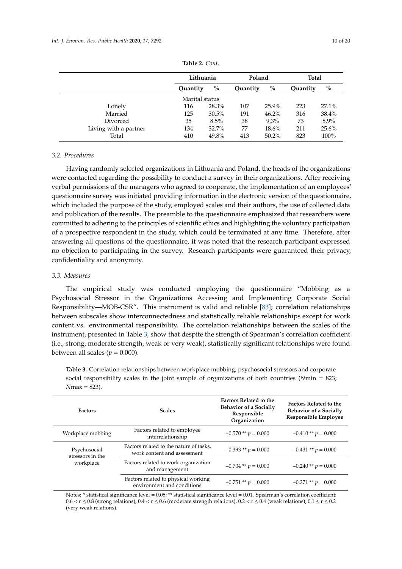<span id="page-9-0"></span>

|                       | Lithuania      |       | Poland          |          | <b>Total</b> |          |
|-----------------------|----------------|-------|-----------------|----------|--------------|----------|
|                       | Quantity       | $\%$  | <b>Ouantity</b> | $\%$     | Quantity     | $\%$     |
|                       | Marital status |       |                 |          |              |          |
| Lonely                | 116            | 28.3% | 107             | 25.9%    | 223          | $27.1\%$ |
| Married               | 125            | 30.5% | 191             | 46.2%    | 316          | 38.4%    |
| Divorced              | 35             | 8.5%  | 38              | $9.3\%$  | 73           | 8.9%     |
| Living with a partner | 134            | 32.7% | 77              | 18.6%    | 211          | $25.6\%$ |
| Total                 | 410            | 49.8% | 413             | $50.2\%$ | 823          | 100%     |
|                       |                |       |                 |          |              |          |

## *3.2. Procedures*

Having randomly selected organizations in Lithuania and Poland, the heads of the organizations were contacted regarding the possibility to conduct a survey in their organizations. After receiving verbal permissions of the managers who agreed to cooperate, the implementation of an employees' questionnaire survey was initiated providing information in the electronic version of the questionnaire, which included the purpose of the study, employed scales and their authors, the use of collected data and publication of the results. The preamble to the questionnaire emphasized that researchers were committed to adhering to the principles of scientific ethics and highlighting the voluntary participation of a prospective respondent in the study, which could be terminated at any time. Therefore, after answering all questions of the questionnaire, it was noted that the research participant expressed no objection to participating in the survey. Research participants were guaranteed their privacy, confidentiality and anonymity.

## *3.3. Measures*

The empirical study was conducted employing the questionnaire "Mobbing as a Psychosocial Stressor in the Organizations Accessing and Implementing Corporate Social Responsibility—MOB-CSR". This instrument is valid and reliable [\[83\]](#page-19-17); correlation relationships between subscales show interconnectedness and statistically reliable relationships except for work content vs. environmental responsibility. The correlation relationships between the scales of the instrument, presented in Table [3,](#page-9-1) show that despite the strength of Spearman's correlation coefficient (i.e., strong, moderate strength, weak or very weak), statistically significant relationships were found between all scales ( $p = 0.000$ ).

<span id="page-9-1"></span>**Table 3.** Correlation relationships between workplace mobbing, psychosocial stressors and corporate social responsibility scales in the joint sample of organizations of both countries (*N*min = 823; *N*max = 823).

| <b>Factors</b>                   | <b>Scales</b>                                                          | <b>Factors Related to the</b><br><b>Behavior of a Socially</b><br>Responsible<br>Organization | <b>Factors Related to the</b><br><b>Behavior of a Socially</b><br>Responsible Employee |
|----------------------------------|------------------------------------------------------------------------|-----------------------------------------------------------------------------------------------|----------------------------------------------------------------------------------------|
| Workplace mobbing                | Factors related to employee<br>interrelationship                       | $-0.570** p = 0.000$                                                                          | $-0.410** p = 0.000$                                                                   |
| Psychosocial<br>stressors in the | Factors related to the nature of tasks,<br>work content and assessment | $-0.393** p = 0.000$                                                                          | $-0.431** p = 0.000$                                                                   |
| workplace                        | Factors related to work organization<br>and management                 | $-0.704** p = 0.000$                                                                          | $-0.240** p = 0.000$                                                                   |
|                                  | Factors related to physical working<br>environment and conditions      | $-0.751** p = 0.000$                                                                          | $-0.271** p = 0.000$                                                                   |

Notes:  $*$  statistical significance level = 0.05;  $**$  statistical significance level = 0.01. Spearman's correlation coefficient:  $0.6 < r \le 0.8$  (strong relations),  $0.4 < r \le 0.6$  (moderate strength relations),  $0.2 < r \le 0.4$  (weak relations),  $0.1 \le r \le 0.2$ (very weak relations).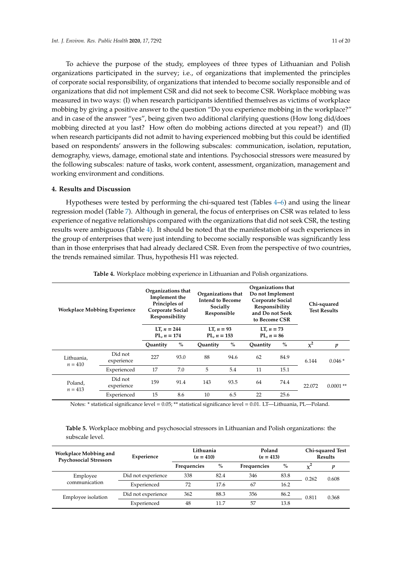To achieve the purpose of the study, employees of three types of Lithuanian and Polish organizations participated in the survey; i.e., of organizations that implemented the principles of corporate social responsibility, of organizations that intended to become socially responsible and of organizations that did not implement CSR and did not seek to become CSR. Workplace mobbing was measured in two ways: (I) when research participants identified themselves as victims of workplace mobbing by giving a positive answer to the question "Do you experience mobbing in the workplace?" and in case of the answer "yes", being given two additional clarifying questions (How long did/does mobbing directed at you last? How often do mobbing actions directed at you repeat?) and (II) when research participants did not admit to having experienced mobbing but this could be identified based on respondents' answers in the following subscales: communication, isolation, reputation, demography, views, damage, emotional state and intentions. Psychosocial stressors were measured by the following subscales: nature of tasks, work content, assessment, organization, management and working environment and conditions.

## **4. Results and Discussion**

Hypotheses were tested by performing the chi-squared test (Tables [4–](#page-10-0)[6\)](#page-12-0) and using the linear regression model (Table [7\)](#page-13-0). Although in general, the focus of enterprises on CSR was related to less experience of negative relationships compared with the organizations that did not seek CSR, the testing results were ambiguous (Table [4\)](#page-10-0). It should be noted that the manifestation of such experiences in the group of enterprises that were just intending to become socially responsible was significantly less than in those enterprises that had already declared CSR. Even from the perspective of two countries, the trends remained similar. Thus, hypothesis H1 was rejected.

<span id="page-10-0"></span>

| <b>Workplace Mobbing Experience</b> |                       | Organizations that<br>Implement the<br>Principles of<br><b>Corporate Social</b><br>Responsibility<br>LT, $n = 244$<br>PL, $n = 174$ |      | Organizations that<br><b>Intend to Become</b><br>Socially<br>Responsible<br>LT, $n = 93$<br>PL, $n = 153$ |      | Organizations that<br>Do not Implement<br><b>Corporate Social</b><br>Responsibility<br>and Do not Seek-<br>to Become CSR<br>LT, $n = 73$<br>PL, $n = 86$ |      | Chi-squared<br><b>Test Results</b> |            |
|-------------------------------------|-----------------------|-------------------------------------------------------------------------------------------------------------------------------------|------|-----------------------------------------------------------------------------------------------------------|------|----------------------------------------------------------------------------------------------------------------------------------------------------------|------|------------------------------------|------------|
|                                     |                       |                                                                                                                                     |      |                                                                                                           |      |                                                                                                                                                          |      |                                    |            |
| Lithuania.<br>$n = 410$             | Did not<br>experience | 227                                                                                                                                 | 93.0 | 88                                                                                                        | 94.6 | 62                                                                                                                                                       | 84.9 | 6.144                              | $0.046*$   |
|                                     | Experienced           | 17                                                                                                                                  | 7.0  | 5                                                                                                         | 5.4  | 11                                                                                                                                                       | 15.1 |                                    |            |
| Poland.<br>$n = 413$                | Did not<br>experience | 159                                                                                                                                 | 91.4 | 143                                                                                                       | 93.5 | 64                                                                                                                                                       | 74.4 | 22.072                             | $0.0001**$ |
|                                     | Experienced           | 15                                                                                                                                  | 8.6  | 10                                                                                                        | 6.5  | 22                                                                                                                                                       | 25.6 |                                    |            |

| Table 4. Workplace mobbing experience in Lithuanian and Polish organizations. |  |
|-------------------------------------------------------------------------------|--|
|-------------------------------------------------------------------------------|--|

Notes: \* statistical significance level = 0.05; \*\* statistical significance level = 0.01. LT—Lithuania, PL—Poland.

**Table 5.** Workplace mobbing and psychosocial stressors in Lithuanian and Polish organizations: the subscale level.

| Workplace Mobbing and<br><b>Psychosocial Stressors</b> | Experience         | Lithuania<br>$(n = 410)$ |      | Poland<br>$(n = 413)$ | <b>Chi-squared Test</b><br><b>Results</b> |              |       |
|--------------------------------------------------------|--------------------|--------------------------|------|-----------------------|-------------------------------------------|--------------|-------|
|                                                        |                    | Frequencies              | $\%$ | Frequencies           | $\%$                                      | $\mathbf{v}$ |       |
| Employee                                               | Did not experience | 338                      | 82.4 | 346                   | 83.8                                      | 0.262        | 0.608 |
| communication                                          | Experienced        | 72                       | 17.6 | 67                    | 16.2                                      |              |       |
| Employee isolation                                     | Did not experience | 362                      | 88.3 | 356                   | 86.2                                      | 0.811        | 0.368 |
|                                                        | Experienced        | 48                       | 11.7 | 57                    | 13.8                                      |              |       |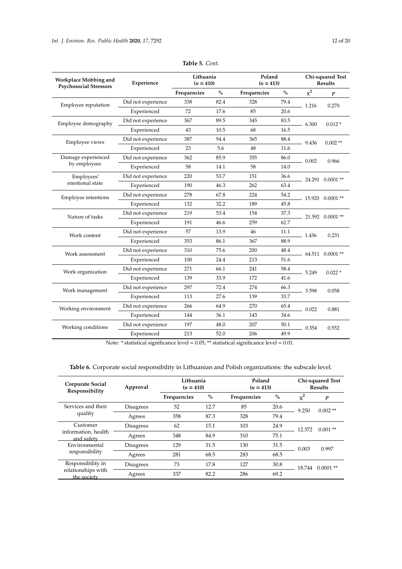<span id="page-11-0"></span>

| Workplace Mobbing and<br><b>Psychosocial Stressors</b> | Experience         | Lithuania<br>$(n = 410)$ |      | Poland<br>$(n = 413)$ |               | Chi-squared Test<br><b>Results</b> |                  |
|--------------------------------------------------------|--------------------|--------------------------|------|-----------------------|---------------|------------------------------------|------------------|
|                                                        |                    | Frequencies              | $\%$ | Frequencies           | $\frac{0}{0}$ | $x^2$                              | p                |
| Employee reputation                                    | Did not experience | 338                      | 82.4 | 328                   | 79.4          | 1.216                              | 0.270            |
|                                                        | Experienced        | 72                       | 17.6 | 85                    | 20.6          |                                    |                  |
| Employee demography                                    | Did not experience | 367                      | 89.5 | 345                   | 83.5          | 6.300                              | $0.012*$         |
|                                                        | Experienced        | 43                       | 10.5 | 68                    | 16.5          |                                    |                  |
| Employee views                                         | Did not experience | 387                      | 94.4 | 365                   | 88.4          | 9.436                              | $0.002**$        |
|                                                        | Experienced        | 23                       | 5.6  | 48                    | 11.6          |                                    |                  |
| Damage experienced                                     | Did not experience | 362                      | 85.9 | 355                   | 86.0          | 0.002                              | 0.966            |
| by employees                                           | Experienced        | 58                       | 14.1 | 58                    | 14.0          |                                    |                  |
| Employees'                                             | Did not experience | 220                      | 53.7 | 151                   | 36.6          |                                    | 24.291 0.0001**  |
| emotional state                                        | Experienced        | 190                      | 46.3 | 262                   | 63.4          |                                    |                  |
| Employee intentions                                    | Did not experience | 278                      | 67.8 | 224                   | 54.2          |                                    | 15.920 0.0001 ** |
|                                                        | Experienced        | 132                      | 32.2 | 189                   | 45.8          |                                    |                  |
| Nature of tasks                                        | Did not experience | 219                      | 53.4 | 154                   | 37.3          |                                    | 21.592 0.0001**  |
|                                                        | Experienced        | 191                      | 46.6 | 259                   | 62.7          |                                    |                  |
| Work content                                           | Did not experience | 57                       | 13.9 | 46                    | 11.1          | 1.436                              | 0.231            |
|                                                        | Experienced        | 353                      | 86.1 | 367                   | 88.9          |                                    |                  |
| Work assessment                                        | Did not experience | 310                      | 75.6 | 200                   | 48.4          |                                    | 64.511 0.0001**  |
|                                                        | Experienced        | 100                      | 24.4 | 213                   | 51.6          |                                    |                  |
| Work organization                                      | Did not experience | 271                      | 66.1 | 241                   | 58.4          | 5.249                              | $0.022*$         |
|                                                        | Experienced        | 139                      | 33.9 | 172                   | 41.6          |                                    |                  |
| Work management                                        | Did not experience | 297                      | 72.4 | 274                   | 66.3          | 3.598                              | 0.058            |
|                                                        | Experienced        | 113                      | 27.6 | 139                   | 33.7          |                                    |                  |
| Working environment                                    | Did not experience | 266                      | 64.9 | 270                   | 65.4          | 0.022                              | 0.881            |
|                                                        | Experienced        | 144                      | 36.1 | 143                   | 34.6          |                                    |                  |
| Working conditions                                     | Did not experience | 197                      | 48.0 | 207                   | 50.1          | 0.354                              | 0.552            |
|                                                        | Experienced        | 213                      | 52.0 | 206                   | 49.9          |                                    |                  |

**Table 5.** *Cont.*

Note:  $*$  statistical significance level = 0.05;  $**$  statistical significance level = 0.01.

# **Table 6.** Corporate social responsibility in Lithuanian and Polish organizations: the subscale level.

| Corporate Social<br>Responsibility | Approval         | Lithuania<br>$(n = 410)$ |      | Poland<br>$(n = 413)$ |      | Chi-squared Test<br><b>Results</b> |             |
|------------------------------------|------------------|--------------------------|------|-----------------------|------|------------------------------------|-------------|
|                                    |                  | Frequencies              | $\%$ | Frequencies           | $\%$ | $\chi^2$                           | p           |
| Services and their                 | <b>Disagrees</b> | 52                       | 12.7 | 85                    | 20.6 | 9.250                              | $0.002$ **  |
| quality                            | Agrees           | 358<br>87.3              |      | 328                   | 79.4 |                                    |             |
| Customer                           | <b>Disagrees</b> | 62                       | 15.1 | 103                   | 24.9 | 12.372                             | $0.001$ **  |
| information, health<br>and safety  | Agrees           | 348                      | 84.9 | 310                   | 75.1 |                                    |             |
| Environmental                      | <b>Disagrees</b> | 129                      | 31.5 | 130                   | 31.5 | 0.003                              | 0.997       |
| responsibility                     | Agrees           |                          | 68.5 | 283                   | 68.5 |                                    |             |
| Responsibility in                  | <b>Disagrees</b> | 73                       | 17.8 | 127                   | 30.8 | 18.744                             | $0.0001$ ** |
| relationships with<br>the society  | Agrees           | 337                      | 82.2 | 286                   | 69.2 |                                    |             |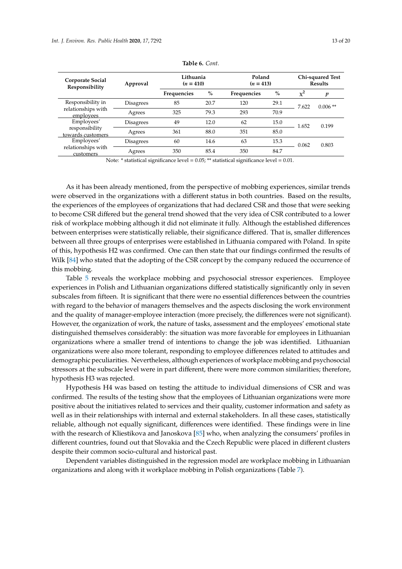<span id="page-12-0"></span>

| Corporate Social<br>Responsibility                   | Approval         | Lithuania<br>$(n = 410)$ |               | Poland<br>$(n = 413)$ |      | Chi-squared Test<br><b>Results</b> |            |
|------------------------------------------------------|------------------|--------------------------|---------------|-----------------------|------|------------------------------------|------------|
|                                                      |                  | Frequencies              | $\frac{0}{0}$ | Frequencies           | $\%$ | $\chi^2$                           | p          |
| Responsibility in<br>relationships with<br>employees | <b>Disagrees</b> | 85                       | 20.7          | 120                   | 29.1 | 7.622                              | $0.006$ ** |
|                                                      | Agrees           | 325                      | 79.3          | 293                   | 70.9 |                                    |            |
| Employees'                                           | <b>Disagrees</b> | 49                       | 12.0          | 62                    | 15.0 | 1.652                              | 0.199      |
| responsibility<br>towards customers                  | Agrees           | 361                      | 88.0          | 351                   | 85.0 |                                    |            |
| Employees'                                           | <b>Disagrees</b> | 60                       | 14.6          | 63                    | 15.3 | 0.062                              | 0.803      |
| relationships with<br>customers                      | Agrees           | 350                      | 85.4          | 350                   | 84.7 |                                    |            |

**Table 6.** *Cont.*

Note:  $*$  statistical significance level = 0.05; \*\* statistical significance level = 0.01.

As it has been already mentioned, from the perspective of mobbing experiences, similar trends were observed in the organizations with a different status in both countries. Based on the results, the experiences of the employees of organizations that had declared CSR and those that were seeking to become CSR differed but the general trend showed that the very idea of CSR contributed to a lower risk of workplace mobbing although it did not eliminate it fully. Although the established differences between enterprises were statistically reliable, their significance differed. That is, smaller differences between all three groups of enterprises were established in Lithuania compared with Poland. In spite of this, hypothesis H2 was confirmed. One can then state that our findings confirmed the results of Wilk [\[84\]](#page-19-18) who stated that the adopting of the CSR concept by the company reduced the occurrence of this mobbing.

Table [5](#page-11-0) reveals the workplace mobbing and psychosocial stressor experiences. Employee experiences in Polish and Lithuanian organizations differed statistically significantly only in seven subscales from fifteen. It is significant that there were no essential differences between the countries with regard to the behavior of managers themselves and the aspects disclosing the work environment and the quality of manager-employee interaction (more precisely, the differences were not significant). However, the organization of work, the nature of tasks, assessment and the employees' emotional state distinguished themselves considerably: the situation was more favorable for employees in Lithuanian organizations where a smaller trend of intentions to change the job was identified. Lithuanian organizations were also more tolerant, responding to employee differences related to attitudes and demographic peculiarities. Nevertheless, although experiences of workplace mobbing and psychosocial stressors at the subscale level were in part different, there were more common similarities; therefore, hypothesis H3 was rejected.

Hypothesis H4 was based on testing the attitude to individual dimensions of CSR and was confirmed. The results of the testing show that the employees of Lithuanian organizations were more positive about the initiatives related to services and their quality, customer information and safety as well as in their relationships with internal and external stakeholders. In all these cases, statistically reliable, although not equally significant, differences were identified. These findings were in line with the research of Kliestikova and Janoskova [\[85\]](#page-19-19) who, when analyzing the consumers' profiles in different countries, found out that Slovakia and the Czech Republic were placed in different clusters despite their common socio-cultural and historical past.

Dependent variables distinguished in the regression model are workplace mobbing in Lithuanian organizations and along with it workplace mobbing in Polish organizations (Table [7\)](#page-13-0).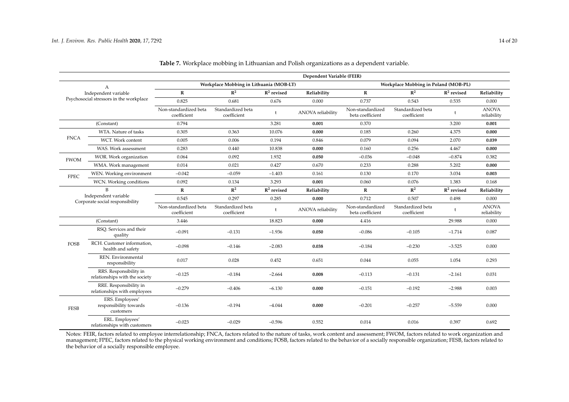|                                                                 |                                                          | Dependent Variable (FEIR)            |                                         |                                      |                   |                                      |                                  |                      |                             |
|-----------------------------------------------------------------|----------------------------------------------------------|--------------------------------------|-----------------------------------------|--------------------------------------|-------------------|--------------------------------------|----------------------------------|----------------------|-----------------------------|
|                                                                 | A                                                        |                                      | Workplace Mobbing in Lithuania (MOB-LT) | Workplace Mobbing in Poland (MOB-PL) |                   |                                      |                                  |                      |                             |
| Independent variable<br>Psychosocial stressors in the workplace |                                                          | $\mathbf R$                          | $\mathbb{R}^2$                          | $R^2$ revised                        | Reliability       | $\mathbf{R}$                         | $\mathbb{R}^2$                   | $R^2$ revised        | Reliability                 |
|                                                                 |                                                          | 0.825                                | 0.681                                   | 0.676                                | 0.000             | 0.737                                | 0.543                            | 0.535                | 0.000                       |
|                                                                 |                                                          | Non-standardized beta<br>coefficient | Standardized beta<br>coefficient        | $\ddagger$                           | ANOVA reliability | Non-standardized<br>beta coefficient | Standardized beta<br>coefficient | $\ddot{\phantom{1}}$ | <b>ANOVA</b><br>reliability |
| (Constant)                                                      |                                                          | 0.794                                |                                         | 3.281                                | 0.001             | 0.370                                |                                  | 3.200                | 0.001                       |
| <b>FNCA</b>                                                     | WTA. Nature of tasks                                     | 0.305                                | 0.363                                   | 10.076                               | 0.000             | 0.185                                | 0.260                            | 4.375                | 0.000                       |
|                                                                 | WCT. Work content                                        | 0.005                                | 0.006                                   | 0.194                                | 0.846             | 0.079                                | 0.094                            | 2.070                | 0.039                       |
|                                                                 | WAS. Work assessment                                     | 0.283                                | 0.440                                   | 10.838                               | 0.000             | 0.160                                | 0.256                            | 4.467                | 0.000                       |
| <b>FWOM</b>                                                     | WOR. Work organization                                   | 0.064                                | 0.092                                   | 1.932                                | 0.050             | $-0.036$                             | $-0.048$                         | $-0.874$             | 0.382                       |
|                                                                 | WMA. Work management                                     | 0.014                                | 0.021                                   | 0.427                                | 0.670             | 0.233                                | 0.288                            | 5.202                | 0.000                       |
| <b>FPEC</b>                                                     | WEN. Working environment                                 | $-0.042$                             | $-0.059$                                | $-1.403$                             | 0.161             | 0.130                                | 0.170                            | 3.034                | 0.003                       |
|                                                                 | WCN. Working conditions                                  | 0.092                                | 0.134                                   | 3.293                                | 0.001             | 0.060                                | 0.076                            | 1.383                | 0.168                       |
| B<br>Independent variable<br>Corporate social responsibility    |                                                          | $\mathbf R$                          | $\mathbb{R}^2$                          | $R^2$ revised                        | Reliability       | $\mathbf{R}$                         | $\mathbb{R}^2$                   | $R^2$ revised        | Reliability                 |
|                                                                 |                                                          | 0.545                                | 0.297                                   | 0.285                                | 0.000             | 0.712                                | 0.507                            | 0.498                | 0.000                       |
|                                                                 |                                                          | Non-standardized beta<br>coefficient | Standardized beta<br>coefficient        | t                                    | ANOVA reliability | Non-standardized<br>beta coefficient | Standardized beta<br>coefficient |                      | <b>ANOVA</b><br>reliability |
| (Constant)                                                      |                                                          | 3.446                                |                                         | 18.823                               | 0.000             | 4.416                                |                                  | 29.988               | 0.000                       |
| <b>FOSB</b>                                                     | RSQ. Services and their<br>quality                       | $-0.091$                             | $-0.131$                                | $-1.936$                             | 0.050             | $-0.086$                             | $-0.105$                         | $-1.714$             | 0.087                       |
|                                                                 | RCH. Customer information,<br>health and safety          | $-0.098$                             | $-0.146$                                | $-2.083$                             | 0.038             | $-0.184$                             | $-0.230$                         | $-3.525$             | 0.000                       |
|                                                                 | REN. Environmental<br>responsibility                     | 0.017                                | 0.028                                   | 0.452                                | 0.651             | 0.044                                | 0.055                            | 1.054                | 0.293                       |
|                                                                 | RRS. Responsibility in<br>relationships with the society | $-0.125$                             | $-0.184$                                | $-2.664$                             | 0.008             | $-0.113$                             | $-0.131$                         | $-2.161$             | 0.031                       |
|                                                                 | RRE. Responsibility in<br>relationships with employees   | $-0.279$                             | $-0.406$                                | $-6.130$                             | 0.000             | $-0.151$                             | $-0.192$                         | $-2.988$             | 0.003                       |
| <b>FESB</b>                                                     | ERS. Employees'<br>responsibility towards<br>customers   | $-0.136$                             | $-0.194$                                | $-4.044$                             | 0.000             | $-0.201$                             | $-0.257$                         | $-5.559$             | 0.000                       |
|                                                                 | ERL. Employees'<br>relationships with customers          | $-0.023$                             | $-0.029$                                | $-0.596$                             | 0.552             | 0.014                                | 0.016                            | 0.397                | 0.692                       |

## **Table 7.** Workplace mobbing in Lithuanian and Polish organizations as a dependent variable.

<span id="page-13-0"></span>Notes: FEIR, factors related to employee interrelationship; FNCA, factors related to the nature of tasks, work content and assessment; FWOM, factors related to work organization and management; FPEC, factors related to the physical working environment and conditions; FOSB, factors related to the behavior of a socially responsible organization; FESB, factors related to the physical working environment the behavior of a socially responsible employee.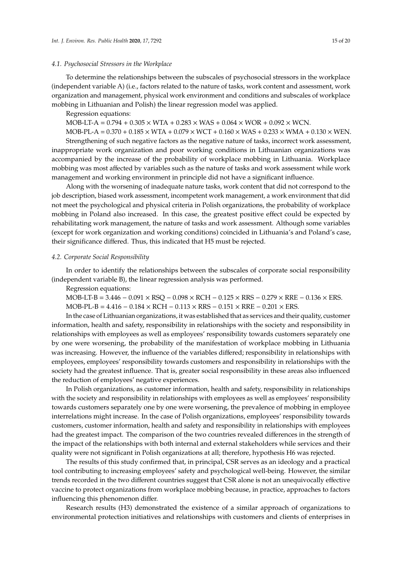#### *4.1. Psychosocial Stressors in the Workplace*

To determine the relationships between the subscales of psychosocial stressors in the workplace (independent variable A) (i.e., factors related to the nature of tasks, work content and assessment, work organization and management, physical work environment and conditions and subscales of workplace mobbing in Lithuanian and Polish) the linear regression model was applied.

Regression equations:

MOB-LT-A =  $0.794 + 0.305 \times WTA + 0.283 \times WAS + 0.064 \times WOR + 0.092 \times WCN$ .

MOB-PL-A =  $0.370 + 0.185 \times WTA + 0.079 \times WCT + 0.160 \times WAS + 0.233 \times WMA + 0.130 \times WEN$ . Strengthening of such negative factors as the negative nature of tasks, incorrect work assessment, inappropriate work organization and poor working conditions in Lithuanian organizations was accompanied by the increase of the probability of workplace mobbing in Lithuania. Workplace mobbing was most affected by variables such as the nature of tasks and work assessment while work management and working environment in principle did not have a significant influence.

Along with the worsening of inadequate nature tasks, work content that did not correspond to the job description, biased work assessment, incompetent work management, a work environment that did not meet the psychological and physical criteria in Polish organizations, the probability of workplace mobbing in Poland also increased. In this case, the greatest positive effect could be expected by rehabilitating work management, the nature of tasks and work assessment. Although some variables (except for work organization and working conditions) coincided in Lithuania's and Poland's case, their significance differed. Thus, this indicated that H5 must be rejected.

#### *4.2. Corporate Social Responsibility*

In order to identify the relationships between the subscales of corporate social responsibility (independent variable B), the linear regression analysis was performed.

Regression equations:

MOB-LT-B =  $3.446 - 0.091 \times$  RSQ  $- 0.098 \times$  RCH  $- 0.125 \times$  RRS  $- 0.279 \times$  RRE  $- 0.136 \times$  ERS. MOB-PL-B =  $4.416 - 0.184 \times \text{RCH} - 0.113 \times \text{RRS} - 0.151 \times \text{RRE} - 0.201 \times \text{ERS}$ .

In the case of Lithuanian organizations, it was established that as services and their quality, customer information, health and safety, responsibility in relationships with the society and responsibility in relationships with employees as well as employees' responsibility towards customers separately one by one were worsening, the probability of the manifestation of workplace mobbing in Lithuania was increasing. However, the influence of the variables differed; responsibility in relationships with employees, employees' responsibility towards customers and responsibility in relationships with the society had the greatest influence. That is, greater social responsibility in these areas also influenced the reduction of employees' negative experiences.

In Polish organizations, as customer information, health and safety, responsibility in relationships with the society and responsibility in relationships with employees as well as employees' responsibility towards customers separately one by one were worsening, the prevalence of mobbing in employee interrelations might increase. In the case of Polish organizations, employees' responsibility towards customers, customer information, health and safety and responsibility in relationships with employees had the greatest impact. The comparison of the two countries revealed differences in the strength of the impact of the relationships with both internal and external stakeholders while services and their quality were not significant in Polish organizations at all; therefore, hypothesis H6 was rejected.

The results of this study confirmed that, in principal, CSR serves as an ideology and a practical tool contributing to increasing employees' safety and psychological well-being. However, the similar trends recorded in the two different countries suggest that CSR alone is not an unequivocally effective vaccine to protect organizations from workplace mobbing because, in practice, approaches to factors influencing this phenomenon differ.

Research results (H3) demonstrated the existence of a similar approach of organizations to environmental protection initiatives and relationships with customers and clients of enterprises in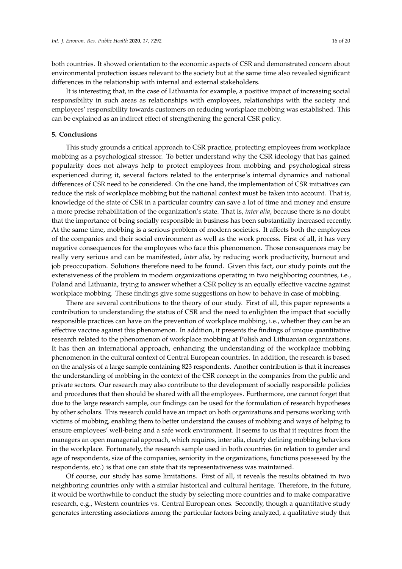both countries. It showed orientation to the economic aspects of CSR and demonstrated concern about environmental protection issues relevant to the society but at the same time also revealed significant differences in the relationship with internal and external stakeholders.

It is interesting that, in the case of Lithuania for example, a positive impact of increasing social responsibility in such areas as relationships with employees, relationships with the society and employees' responsibility towards customers on reducing workplace mobbing was established. This can be explained as an indirect effect of strengthening the general CSR policy.

## **5. Conclusions**

This study grounds a critical approach to CSR practice, protecting employees from workplace mobbing as a psychological stressor. To better understand why the CSR ideology that has gained popularity does not always help to protect employees from mobbing and psychological stress experienced during it, several factors related to the enterprise's internal dynamics and national differences of CSR need to be considered. On the one hand, the implementation of CSR initiatives can reduce the risk of workplace mobbing but the national context must be taken into account. That is, knowledge of the state of CSR in a particular country can save a lot of time and money and ensure a more precise rehabilitation of the organization's state. That is, *inter alia*, because there is no doubt that the importance of being socially responsible in business has been substantially increased recently. At the same time, mobbing is a serious problem of modern societies. It affects both the employees of the companies and their social environment as well as the work process. First of all, it has very negative consequences for the employees who face this phenomenon. Those consequences may be really very serious and can be manifested, *inter alia*, by reducing work productivity, burnout and job preoccupation. Solutions therefore need to be found. Given this fact, our study points out the extensiveness of the problem in modern organizations operating in two neighboring countries, i.e., Poland and Lithuania, trying to answer whether a CSR policy is an equally effective vaccine against workplace mobbing. These findings give some suggestions on how to behave in case of mobbing.

There are several contributions to the theory of our study. First of all, this paper represents a contribution to understanding the status of CSR and the need to enlighten the impact that socially responsible practices can have on the prevention of workplace mobbing, i.e., whether they can be an effective vaccine against this phenomenon. In addition, it presents the findings of unique quantitative research related to the phenomenon of workplace mobbing at Polish and Lithuanian organizations. It has then an international approach, enhancing the understanding of the workplace mobbing phenomenon in the cultural context of Central European countries. In addition, the research is based on the analysis of a large sample containing 823 respondents. Another contribution is that it increases the understanding of mobbing in the context of the CSR concept in the companies from the public and private sectors. Our research may also contribute to the development of socially responsible policies and procedures that then should be shared with all the employees. Furthermore, one cannot forget that due to the large research sample, our findings can be used for the formulation of research hypotheses by other scholars. This research could have an impact on both organizations and persons working with victims of mobbing, enabling them to better understand the causes of mobbing and ways of helping to ensure employees' well-being and a safe work environment. It seems to us that it requires from the managers an open managerial approach, which requires, inter alia, clearly defining mobbing behaviors in the workplace. Fortunately, the research sample used in both countries (in relation to gender and age of respondents, size of the companies, seniority in the organizations, functions possessed by the respondents, etc.) is that one can state that its representativeness was maintained.

Of course, our study has some limitations. First of all, it reveals the results obtained in two neighboring countries only with a similar historical and cultural heritage. Therefore, in the future, it would be worthwhile to conduct the study by selecting more countries and to make comparative research, e.g., Western countries vs. Central European ones. Secondly, though a quantitative study generates interesting associations among the particular factors being analyzed, a qualitative study that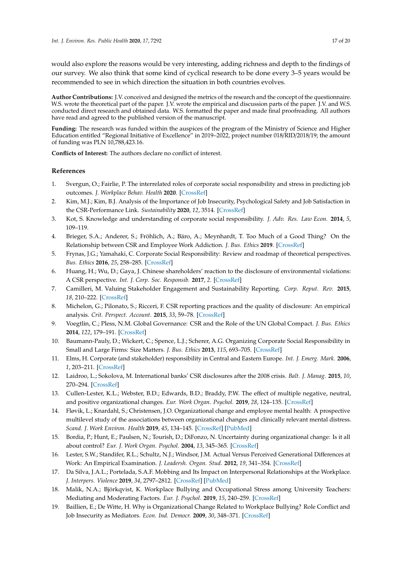would also explore the reasons would be very interesting, adding richness and depth to the findings of our survey. We also think that some kind of cyclical research to be done every 3–5 years would be recommended to see in which direction the situation in both countries evolves.

**Author Contributions:** J.V. conceived and designed the metrics of the research and the concept of the questionnaire. W.S. wrote the theoretical part of the paper. J.V. wrote the empirical and discussion parts of the paper. J.V. and W.S. conducted direct research and obtained data. W.S. formatted the paper and made final proofreading. All authors have read and agreed to the published version of the manuscript.

**Funding:** The research was funded within the auspices of the program of the Ministry of Science and Higher Education entitled "Regional Initiative of Excellence" in 2019–2022, project number 018/RID/2018/19; the amount of funding was PLN 10,788,423.16.

**Conflicts of Interest:** The authors declare no conflict of interest.

## **References**

- <span id="page-16-0"></span>1. Svergun, O.; Fairlie, P. The interrelated roles of corporate social responsibility and stress in predicting job outcomes. *J. Workplace Behav. Health* **2020**. [\[CrossRef\]](http://dx.doi.org/10.1080/15555240.2020.1775625)
- <span id="page-16-1"></span>2. Kim, M.J.; Kim, B.J. Analysis of the Importance of Job Insecurity, Psychological Safety and Job Satisfaction in the CSR-Performance Link. *Sustainability* **2020**, *12*, 3514. [\[CrossRef\]](http://dx.doi.org/10.3390/su12093514)
- <span id="page-16-2"></span>3. Kot, S. Knowledge and understanding of corporate social responsibility. *J. Adv. Res. Law Econ.* **2014**, *5*, 109–119.
- <span id="page-16-3"></span>4. Brieger, S.A.; Anderer, S.; Fröhlich, A.; Bäro, A.; Meynhardt, T. Too Much of a Good Thing? On the Relationship between CSR and Employee Work Addiction. *J. Bus. Ethics* **2019**. [\[CrossRef\]](http://dx.doi.org/10.1007/s10551-019-04141-8)
- <span id="page-16-4"></span>5. Frynas, J.G.; Yamahaki, C. Corporate Social Responsibility: Review and roadmap of theoretical perspectives. *Bus. Ethics* **2016**, *25*, 258–285. [\[CrossRef\]](http://dx.doi.org/10.1111/beer.12115)
- <span id="page-16-5"></span>6. Huang, H.; Wu, D.; Gaya, J. Chinese shareholders' reaction to the disclosure of environmental violations: A CSR perspective. *Int. J. Corp. Soc. Responsib.* **2017**, *2*. [\[CrossRef\]](http://dx.doi.org/10.1186/s40991-017-0022-z)
- <span id="page-16-6"></span>7. Camilleri, M. Valuing Stakeholder Engagement and Sustainability Reporting. *Corp. Reput. Rev.* **2015**, *18*, 210–222. [\[CrossRef\]](http://dx.doi.org/10.1057/crr.2015.9)
- <span id="page-16-19"></span><span id="page-16-7"></span>8. Michelon, G.; Pilonato, S.; Ricceri, F. CSR reporting practices and the quality of disclosure: An empirical analysis. *Crit. Perspect. Account.* **2015**, *33*, 59–78. [\[CrossRef\]](http://dx.doi.org/10.1016/j.cpa.2014.10.003)
- <span id="page-16-8"></span>9. Voegtlin, C.; Pless, N.M. Global Governance: CSR and the Role of the UN Global Compact. *J. Bus. Ethics* **2014**, *122*, 179–191. [\[CrossRef\]](http://dx.doi.org/10.1007/s10551-014-2214-8)
- <span id="page-16-9"></span>10. Baumann-Pauly, D.; Wickert, C.; Spence, L.J.; Scherer, A.G. Organizing Corporate Social Responsibility in Small and Large Firms: Size Matters. *J. Bus. Ethics* **2013**, *115*, 693–705. [\[CrossRef\]](http://dx.doi.org/10.1007/s10551-013-1827-7)
- <span id="page-16-10"></span>11. Elms, H. Corporate (and stakeholder) responsibility in Central and Eastern Europe. *Int. J. Emerg. Mark.* **2006**, *1*, 203–211. [\[CrossRef\]](http://dx.doi.org/10.1108/17468800610674435)
- <span id="page-16-11"></span>12. Laidroo, L.; Sokolova, M. International banks' CSR disclosures after the 2008 crisis. *Balt. J. Manag.* **2015**, *10*, 270–294. [\[CrossRef\]](http://dx.doi.org/10.1108/BJM-08-2014-0128)
- <span id="page-16-12"></span>13. Cullen-Lester, K.L.; Webster, B.D.; Edwards, B.D.; Braddy, P.W. The effect of multiple negative, neutral, and positive organizational changes. *Eur. Work Organ. Psychol.* **2019**, *28*, 124–135. [\[CrossRef\]](http://dx.doi.org/10.1080/1359432X.2018.1544896)
- <span id="page-16-13"></span>14. Fløvik, L.; Knardahl, S.; Christensen, J.O. Organizational change and employee mental health: A prospective multilevel study of the associations between organizational changes and clinically relevant mental distress. *Scand. J. Work Environ. Health* **2019**, *45*, 134–145. [\[CrossRef\]](http://dx.doi.org/10.5271/sjweh.3777) [\[PubMed\]](http://www.ncbi.nlm.nih.gov/pubmed/30334062)
- <span id="page-16-14"></span>15. Bordia, P.; Hunt, E.; Paulsen, N.; Tourish, D.; DiFonzo, N. Uncertainty during organizational change: Is it all about control? *Eur. J. Work Organ. Psychol.* **2004**, *13*, 345–365. [\[CrossRef\]](http://dx.doi.org/10.1080/13594320444000128)
- <span id="page-16-15"></span>16. Lester, S.W.; Standifer, R.L.; Schultz, N.J.; Windsor, J.M. Actual Versus Perceived Generational Differences at Work: An Empirical Examination. *J. Leadersh. Organ. Stud.* **2012**, *19*, 341–354. [\[CrossRef\]](http://dx.doi.org/10.1177/1548051812442747)
- <span id="page-16-16"></span>17. Da Silva, J.A.L.; Portelada, S.A.F. Mobbing and Its Impact on Interpersonal Relationships at the Workplace. *J. Interpers. Violence* **2019**, *34*, 2797–2812. [\[CrossRef\]](http://dx.doi.org/10.1177/0886260516662850) [\[PubMed\]](http://www.ncbi.nlm.nih.gov/pubmed/27520022)
- <span id="page-16-17"></span>18. Malik, N.A.; Björkqvist, K. Workplace Bullying and Occupational Stress among University Teachers: Mediating and Moderating Factors. *Eur. J. Psychol.* **2019**, *15*, 240–259. [\[CrossRef\]](http://dx.doi.org/10.5964/ejop.v15i2.1611)
- <span id="page-16-18"></span>19. Baillien, E.; De Witte, H. Why is Organizational Change Related to Workplace Bullying? Role Conflict and Job Insecurity as Mediators. *Econ. Ind. Democr.* **2009**, *30*, 348–371. [\[CrossRef\]](http://dx.doi.org/10.1177/0143831X09336557)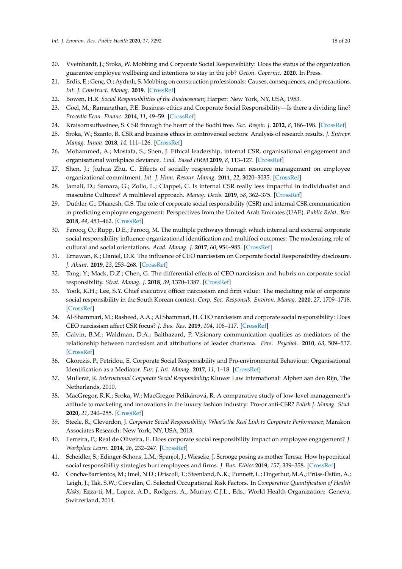- <span id="page-17-0"></span>20. Vveinhardt, J.; Sroka, W. Mobbing and Corporate Social Responsibility: Does the status of the organization guarantee employee wellbeing and intentions to stay in the job? *Oecon. Copernic.* **2020**. In Press.
- <span id="page-17-1"></span>21. Erdis, E.; Genç, O.; Aydınlı, S. Mobbing on construction professionals: Causes, consequences, and precautions. *Int. J. Construct. Manag.* **2019**. [\[CrossRef\]](http://dx.doi.org/10.1080/15623599.2019.1602579)
- <span id="page-17-2"></span>22. Bowen, H.R. *Social Responsibilities of the Businessman*; Harper: New York, NY, USA, 1953.
- <span id="page-17-3"></span>23. Goel, M.; Ramanathan, P.E. Business ethics and Corporate Social Responsibility—Is there a dividing line? *Procedia Econ. Financ.* **2014**, *11*, 49–59. [\[CrossRef\]](http://dx.doi.org/10.1016/S2212-5671(14)00175-0)
- <span id="page-17-4"></span>24. Kraisornsuthasinee, S. CSR through the heart of the Bodhi tree. *Soc. Respir. J.* **2012**, *8*, 186–198. [\[CrossRef\]](http://dx.doi.org/10.1108/17471111211234824)
- <span id="page-17-5"></span>25. Sroka, W.; Szanto, R. CSR and business ethics in controversial sectors: Analysis of research results. *J. Entrepr. Manag. Innov.* **2018**, *14*, 111–126. [\[CrossRef\]](http://dx.doi.org/10.7341/20181435)
- <span id="page-17-6"></span>26. Mohammed, A.; Mostafa, S.; Shen, J. Ethical leadership, internal CSR, organisational engagement and organisational workplace deviance. *Evid. Based HRM* **2019**, *8*, 113–127. [\[CrossRef\]](http://dx.doi.org/10.1108/EBHRM-03-2019-0026)
- <span id="page-17-7"></span>27. Shen, J.; Jiuhua Zhu, C. Effects of socially responsible human resource management on employee organizational commitment. *Int. J. Hum. Resour. Manag.* **2011**, *22*, 3020–3035. [\[CrossRef\]](http://dx.doi.org/10.1080/09585192.2011.599951)
- 28. Jamali, D.; Samara, G.; Zollo, L.; Ciappei, C. Is internal CSR really less impactful in individualist and masculine Cultures? A multilevel approach. *Manag. Decis.* **2019**, *58*, 362–375. [\[CrossRef\]](http://dx.doi.org/10.1108/MD-11-2018-1260)
- <span id="page-17-8"></span>29. Duthler, G.; Dhanesh, G.S. The role of corporate social responsibility (CSR) and internal CSR communication in predicting employee engagement: Perspectives from the United Arab Emirates (UAE). *Public Relat. Rev.* **2018**, *44*, 453–462. [\[CrossRef\]](http://dx.doi.org/10.1016/j.pubrev.2018.04.001)
- <span id="page-17-9"></span>30. Farooq, O.; Rupp, D.E.; Farooq, M. The multiple pathways through which internal and external corporate social responsibility influence organizational identification and multifoci outcomes: The moderating role of cultural and social orientations. *Acad. Manag. J.* **2017**, *60*, 954–985. [\[CrossRef\]](http://dx.doi.org/10.5465/amj.2014.0849)
- <span id="page-17-10"></span>31. Ernawan, K.; Daniel, D.R. The influence of CEO narcissism on Corporate Social Responsibility disclosure. *J. Akunt.* **2019**, *23*, 253–268. [\[CrossRef\]](http://dx.doi.org/10.24912/ja.v23i2.587)
- <span id="page-17-11"></span>32. Tang, Y.; Mack, D.Z.; Chen, G. The differential effects of CEO narcissism and hubris on corporate social responsibility. *Strat. Manag. J.* **2018**, *39*, 1370–1387. [\[CrossRef\]](http://dx.doi.org/10.1002/smj.2761)
- <span id="page-17-12"></span>33. Yook, K.H.; Lee, S.Y. Chief executive officer narcissism and firm value: The mediating role of corporate social responsibility in the South Korean context. *Corp. Soc. Responsib. Environ. Manag.* **2020**, *27*, 1709–1718. [\[CrossRef\]](http://dx.doi.org/10.1002/csr.1918)
- <span id="page-17-13"></span>34. Al-Shammari, M.; Rasheed, A.A.; Al Shammari, H. CEO narcissism and corporate social responsibility: Does CEO narcissism affect CSR focus? *J. Bus. Res.* **2019**, *104*, 106–117. [\[CrossRef\]](http://dx.doi.org/10.1016/j.jbusres.2019.07.005)
- <span id="page-17-14"></span>35. Galvin, B.M.; Waldman, D.A.; Balthazard, P. Visionary communication qualities as mediators of the relationship between narcissism and attributions of leader charisma. *Pers. Psychol.* **2010**, *63*, 509–537. [\[CrossRef\]](http://dx.doi.org/10.1111/j.1744-6570.2010.01179.x)
- <span id="page-17-15"></span>36. Gkorezis, P.; Petridou, E. Corporate Social Responsibility and Pro-environmental Behaviour: Organisational Identification as a Mediator. *Eur. J. Int. Manag.* **2017**, *11*, 1–18. [\[CrossRef\]](http://dx.doi.org/10.1504/EJIM.2017.081248)
- <span id="page-17-16"></span>37. Mullerat, R. *International Corporate Social Responsibility*; Kluwer Law International: Alphen aan den Rijn, The Netherlands, 2010.
- <span id="page-17-17"></span>38. MacGregor, R.K.; Sroka, W.; MacGregor Pelikánová, R. A comparative study of low-level management's attitude to marketing and innovations in the luxury fashion industry: Pro-or anti-CSR? *Polish J. Manag. Stud.* **2020**, *21*, 240–255. [\[CrossRef\]](http://dx.doi.org/10.17512/pjms.2020.21.2.17)
- <span id="page-17-18"></span>39. Steele, R.; Cleverdon, J. *Corporate Social Responsibility: What's the Real Link to Corporate Performance*; Marakon Associates Research: New York, NY, USA, 2013.
- <span id="page-17-19"></span>40. Ferreira, P.; Real de Oliveira, E. Does corporate social responsibility impact on employee engagement? *J. Workplace Learn.* **2014**, *26*, 232–247. [\[CrossRef\]](http://dx.doi.org/10.1108/JWL-09-2013-0070)
- <span id="page-17-20"></span>41. Scheidler, S.; Edinger-Schons, L.M.; Spanjol, J.; Wieseke, J. Scrooge posing as mother Teresa: How hypocritical social responsibility strategies hurt employees and firms. *J. Bus. Ethics* **2019**, *157*, 339–358. [\[CrossRef\]](http://dx.doi.org/10.1007/s10551-018-3788-3)
- <span id="page-17-21"></span>42. Concha-Barrientos, M.; Imel, N.D.; Driscoll, T.; Steenland, N.K.; Punnett, L.; Fingerhut, M.A.; Prüss-Üstün, A.; Leigh, J.; Tak, S.W.; Corvalàn, C. Selected Occupational Risk Factors. In *Comparative Quantification of Health Risks*; Ezza-ti, M., Lopez, A.D., Rodgers, A., Murray, C.J.L., Eds.; World Health Organization: Geneva, Switzerland, 2014.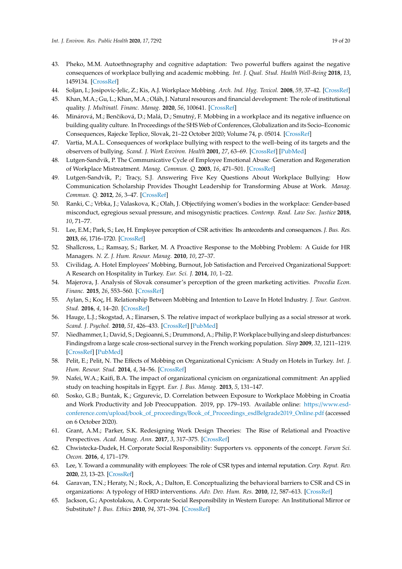- <span id="page-18-0"></span>43. Pheko, M.M. Autoethnography and cognitive adaptation: Two powerful buffers against the negative consequences of workplace bullying and academic mobbing. *Int. J. Qual. Stud. Health Well-Being* **2018**, *13*, 1459134. [\[CrossRef\]](http://dx.doi.org/10.1080/17482631.2018.1459134)
- <span id="page-18-1"></span>44. Soljan, I.; Josipovic-Jelic, Z.; Kis, A.J. Workplace Mobbing. *Arch. Ind. Hyg. Toxicol.* **2008**, *59*, 37–42. [\[CrossRef\]](http://dx.doi.org/10.2478/10004-1254-59-2008-1857)
- <span id="page-18-2"></span>45. Khan, M.A.; Gu, L.; Khan, M.A.; Oláh, J. Natural resources and financial development: The role of institutional quality. *J. Multinatl. Financ. Manag.* **2020**, *56*, 100641. [\[CrossRef\]](http://dx.doi.org/10.1016/j.mulfin.2020.100641)
- <span id="page-18-3"></span>46. Minárová, M.; Benčiková, D.; Malá, D.; Smutný, F. Mobbing in a workplace and its negative influence on building quality culture. In Proceedings of the SHS Web of Conferences, Globalization and its Socio–Economic Consequences, Rajecke Teplice, Slovak, 21–22 October 2020; Volume 74, p. 05014. [\[CrossRef\]](http://dx.doi.org/10.1051/shsconf/20207405014)
- <span id="page-18-4"></span>47. Vartia, M.A.L. Consequences of workplace bullying with respect to the well–being of its targets and the observers of bullying. *Scand. J. Work Environ. Health* **2001**, *27*, 63–69. [\[CrossRef\]](http://dx.doi.org/10.5271/sjweh.588) [\[PubMed\]](http://www.ncbi.nlm.nih.gov/pubmed/11266149)
- 48. Lutgen-Sandvik, P. The Communicative Cycle of Employee Emotional Abuse: Generation and Regeneration of Workplace Mistreatment. *Manag. Commun. Q.* **2003**, *16*, 471–501. [\[CrossRef\]](http://dx.doi.org/10.1177/0893318903251627)
- 49. Lutgen-Sandvik, P.; Tracy, S.J. Answering Five Key Questions About Workplace Bullying: How Communication Scholarship Provides Thought Leadership for Transforming Abuse at Work. *Manag. Commun. Q.* **2012**, *26*, 3–47. [\[CrossRef\]](http://dx.doi.org/10.1177/0893318911414400)
- <span id="page-18-5"></span>50. Ranki, C.; Vrbka, J.; Valaskova, K.; Olah, J. Objectifying women's bodies in the workplace: Gender-based misconduct, egregious sexual pressure, and misogynistic practices. *Contemp. Read. Law Soc. Justice* **2018**, *10*, 71–77.
- <span id="page-18-6"></span>51. Lee, E.M.; Park, S.; Lee, H. Employee perception of CSR activities: Its antecedents and consequences. *J. Bus. Res.* **2013**, *66*, 1716–1720. [\[CrossRef\]](http://dx.doi.org/10.1016/j.jbusres.2012.11.008)
- <span id="page-18-7"></span>52. Shallcross, L.; Ramsay, S.; Barker, M. A Proactive Response to the Mobbing Problem: A Guide for HR Managers. *N. Z. J. Hum. Resour. Manag.* **2010**, *10*, 27–37.
- <span id="page-18-8"></span>53. Civilidag, A. Hotel Employees' Mobbing, Burnout, Job Satisfaction and Perceived Organizational Support: A Research on Hospitality in Turkey. *Eur. Sci. J.* **2014**, *10*, 1–22.
- <span id="page-18-9"></span>54. Majerova, J. Analysis of Slovak consumer's perception of the green marketing activities. *Procedia Econ. Financ.* **2015**, *26*, 553–560. [\[CrossRef\]](http://dx.doi.org/10.1016/S2212-5671(15)00954-5)
- <span id="page-18-10"></span>55. Aylan, S.; Koç, H. Relationship Between Mobbing and Intention to Leave In Hotel Industry. *J. Tour. Gastron. Stud.* **2016**, *4*, 14–20. [\[CrossRef\]](http://dx.doi.org/10.21325/jotags.2016116912)
- <span id="page-18-11"></span>56. Hauge, L.J.; Skogstad, A.; Einarsen, S. The relative impact of workplace bullying as a social stressor at work. *Scand. J. Psychol.* **2010**, *51*, 426–433. [\[CrossRef\]](http://dx.doi.org/10.1111/j.1467-9450.2010.00813.x) [\[PubMed\]](http://www.ncbi.nlm.nih.gov/pubmed/20338011)
- <span id="page-18-12"></span>57. Niedhammer, I.; David, S.; Degioanni, S.; Drummond, A.; Philip, P.Workplace bullying and sleep disturbances: Findingsfrom a large scale cross-sectional survey in the French working population. *Sleep* **2009**, *32*, 1211–1219. [\[CrossRef\]](http://dx.doi.org/10.1093/sleep/32.9.1211) [\[PubMed\]](http://www.ncbi.nlm.nih.gov/pubmed/19750926)
- <span id="page-18-13"></span>58. Pelit, E.; Pelit, N. The Effects of Mobbing on Organizational Cynicism: A Study on Hotels in Turkey. *Int. J. Hum. Resour. Stud.* **2014**, *4*, 34–56. [\[CrossRef\]](http://dx.doi.org/10.5296/ijhrs.v4i1.4996)
- <span id="page-18-14"></span>59. Nafei, W.A.; Kaifi, B.A. The impact of organizational cynicism on organizational commitment: An applied study on teaching hospitals in Egypt. *Eur. J. Bus. Manag.* **2013**, *5*, 131–147.
- <span id="page-18-15"></span>60. Sosko, G.B.; Buntak, K.; Grgurevic, D. Correlation between Exposure to Workplace Mobbing in Croatia and Work Productivity and Job Preocuppation. 2019, pp. 179–193. Available online: https://[www.esd-](https://www.esd-conference.com/upload/book_of_proceedings/Book_of_Proceedings_esdBelgrade2019_Online.pdf)conference.com/upload/book\_of\_proceedings/[Book\\_of\\_Proceedings\\_esdBelgrade2019\\_Online.pdf](https://www.esd-conference.com/upload/book_of_proceedings/Book_of_Proceedings_esdBelgrade2019_Online.pdf) (accessed on 6 October 2020).
- <span id="page-18-16"></span>61. Grant, A.M.; Parker, S.K. Redesigning Work Design Theories: The Rise of Relational and Proactive Perspectives. *Acad. Manag. Ann.* **2017**, *3*, 317–375. [\[CrossRef\]](http://dx.doi.org/10.5465/19416520903047327)
- <span id="page-18-17"></span>62. Chwistecka-Dudek, H. Corporate Social Responsibility: Supporters vs. opponents of the concept. *Forum Sci. Oecon.* **2016**, *4*, 171–179.
- <span id="page-18-18"></span>63. Lee, Y. Toward a communality with employees: The role of CSR types and internal reputation. *Corp. Reput. Rev.* **2020**, *23*, 13–23. [\[CrossRef\]](http://dx.doi.org/10.1057/s41299-019-00069-x)
- <span id="page-18-19"></span>64. Garavan, T.N.; Heraty, N.; Rock, A.; Dalton, E. Conceptualizing the behavioral barriers to CSR and CS in organizations: A typology of HRD interventions. *Adv. Dev. Hum. Res.* **2010**, *12*, 587–613. [\[CrossRef\]](http://dx.doi.org/10.1177/1523422310394779)
- <span id="page-18-20"></span>65. Jackson, G.; Apostolakou, A. Corporate Social Responsibility in Western Europe: An Institutional Mirror or Substitute? *J. Bus. Ethics* **2010**, *94*, 371–394. [\[CrossRef\]](http://dx.doi.org/10.1007/s10551-009-0269-8)